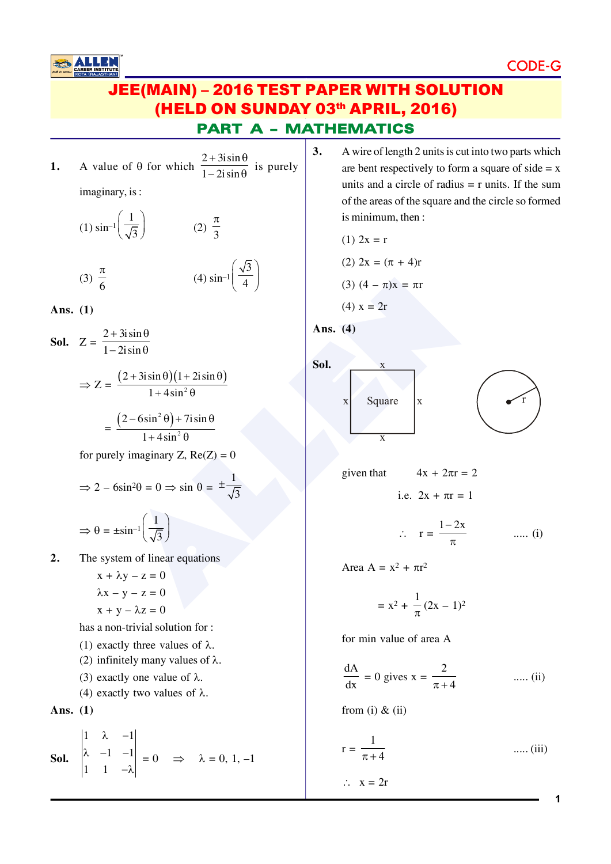CODE-

## PART A – MATHEMATICS JEE(MAIN) – 2016 TEST PAPER WITH SOLUTION (HELD ON SUNDAY 03th APRIL, 2016)

**1.** A value of  $\theta$  for which  $+3i\sin\theta$  $-2i\sin\theta$  $2 + 3i\sin$  $\frac{1-2i\sin\theta}{1-2i\sin\theta}$  is purely imaginary, is :

4

(1) 
$$
\sin^{-1}\left(\frac{1}{\sqrt{3}}\right)
$$
 (2)  $\frac{\pi}{3}$   
(3)  $\frac{\pi}{6}$  (4)  $\sin^{-1}\left(\frac{\sqrt{3}}{4}\right)$ 

**Ans. (1)**

**Sol.** Z =  $+3i\sin\theta$  $-2i\sin\theta$  $2 + 3i\sin$  $1 - 2i \sin$ 

$$
\Rightarrow Z = \frac{(2 + 3i\sin\theta)(1 + 2i\sin\theta)}{1 + 4\sin^2\theta}
$$

 $=\frac{(2-6\sin^2\theta)+7i\sin\theta}{1+i\cos\theta}$  $+4\sin^2\theta$ 2 2  $2-6\sin^2\theta$  + 7isin  $1 + 4\sin$ 

for purely imaginary  $Z$ ,  $Re(Z) = 0$ 

$$
\Rightarrow 2 - 6\sin^2\theta = 0 \Rightarrow \sin \theta = \pm \frac{1}{\sqrt{3}}
$$

$$
\Rightarrow \theta = \pm \sin^{-1}\left(\frac{1}{\sqrt{3}}\right)
$$

**2.** The system of linear equations

$$
x + \lambda y - z = 0
$$

$$
\lambda x - y - z = 0
$$

$$
x + y - \lambda z = 0
$$

has a non-trivial solution for :

- (1) exactly three values of  $\lambda$ .
- (2) infinitely many values of  $\lambda$ .
- (3) exactly one value of  $\lambda$ .
- (4) exactly two values of  $\lambda$ .

Ans. 
$$
(1)
$$

**Sol.** 
$$
\begin{vmatrix} 1 & \lambda & -1 \\ \lambda & -1 & -1 \\ 1 & 1 & -\lambda \end{vmatrix} = 0 \Rightarrow \lambda = 0, 1, -1
$$

**3.** A wire of length 2 units is cut into two parts which are bent respectively to form a square of side  $= x$ units and a circle of radius  $=$  r units. If the sum of the areas of the square and the circle so formed is minimum, then :

(1) 
$$
2x = r
$$

(2) 
$$
2x = (\pi + 4)r
$$

(3) 
$$
(4 - \pi)x = \pi r
$$

(4) 
$$
x = 2r
$$

Ans. 
$$
(4)
$$



given that  $4x + 2\pi r = 2$ 

i.e.  $2x + \pi r = 1$ 

$$
\therefore \quad r = \frac{1 - 2x}{\pi} \qquad \qquad \dots \text{. (i)}
$$

Area A =  $x^2 + \pi r^2$ 

$$
= x^2 + \frac{1}{\pi} (2x - 1)^2
$$

for min value of area A

$$
\frac{dA}{dx} = 0 \text{ gives } x = \frac{2}{\pi + 4} \quad \text{.... (ii)}
$$

from (i)  $&$  (ii)

$$
r = \frac{1}{\pi + 4} \qquad \qquad \dots (iii)
$$

$$
\therefore \quad x = 2r
$$

**1**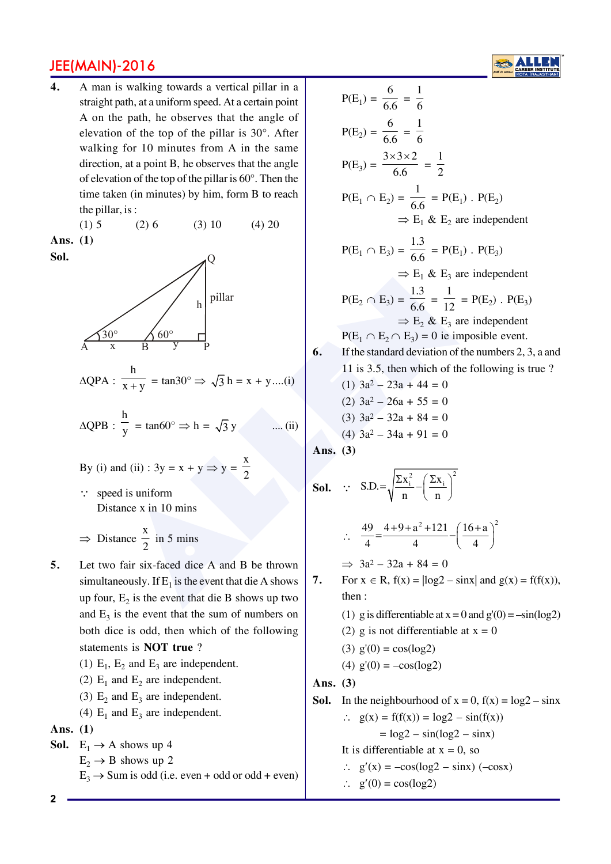**4.** A man is walking towards a vertical pillar in a straight path, at a uniform speed. At a certain point A on the path, he observes that the angle of elevation of the top of the pillar is 30°. After walking for 10 minutes from A in the same direction, at a point B, he observes that the angle of elevation of the top of the pillar is 60°. Then the time taken (in minutes) by him, form B to reach the pillar, is :

(1)  $5$  (2)  $6$  (3)  $10$  (4)  $20$ **Ans. (1)**

**Sol.**



$$
\Delta QPA : \frac{h}{x+y} = \tan 30^\circ \Rightarrow \sqrt{3} h = x + y \dots (i)
$$

$$
\Delta QPB : \frac{h}{y} = \tan 60^\circ \Rightarrow h = \sqrt{3} y \qquad \dots (ii)
$$

By (i) and (ii) : 
$$
3y = x + y \Rightarrow y = \frac{x}{2}
$$

 $\therefore$  speed is uniform Distance x in 10 mins

- $\Rightarrow$  Distance x  $\frac{1}{2}$  in 5 mins
- **5.** Let two fair six-faced dice A and B be thrown simultaneously. If  $E_1$  is the event that die A shows up four,  $E_2$  is the event that die B shows up two and  $E_3$  is the event that the sum of numbers on both dice is odd, then which of the following statements is **NOT true** ?
	- (1)  $E_1$ ,  $E_2$  and  $E_3$  are independent.
	- (2)  $E_1$  and  $E_2$  are independent.
	- (3)  $E_2$  and  $E_3$  are independent.
	- (4)  $E_1$  and  $E_3$  are independent.

#### **Ans. (1)**

- **Sol.**  $E_1 \rightarrow A$  shows up 4  $E_2 \rightarrow B$  shows up 2
	- $E_3 \rightarrow$  Sum is odd (i.e. even + odd or odd + even)

is walking towards a vertical pilar in a  
\nne path, he observes that the angle of  
\nthe path, he observes that the angle of  
\n
$$
\tan A
$$
 in the same  
\n $\tan A$  is 30°. After  
\n $\tan A$  is 30°. After  
\n $\tan A$  is 30°. After  
\n $\tan A$  is 30°. Then the  
\n $\tan A$  is 30°. Then the  
\n $\tan B$ , he observes that the angle  
\n $\tan B$  is 00°. Then the  
\n $\tan B$  is 00°. Then the  
\n $\tan B$  is 00°. Then the  
\n $\tan B$  is 00°. Then the  
\n $\tan B$  is 00°. Then the  
\n $\tan B$  is 00°. Then the  
\n $\tan B$  is 00°. Then the  
\n $\tan B$  is 00°. Then the  
\n $\tan B$  is 00°. Then the  
\n $\tan B$  is 00°. Then the  
\n $\tan B$  is 00°. Then the  
\n $\tan B$  is 00°. Then the  
\n $\tan B$  is 00°. Then the  
\n $\tan B$  is 00°. Then the  
\n $\tan B$  is 00°.  
\n $\tan B$  is 00°.  
\n $\frac{h}{x+y} = \tan 30° \Rightarrow \sqrt{3} h = x + y$ ....(i)  
\n6. If the standard deviation of the numbers 2, 3, a and  
\n $\tan B$  is 11 is 3.5, then which of the following is true ?  
\n(1) 3a<sup>2</sup> - 20a + 44 = 0  
\n(3) 3a<sup>2</sup> - 32a + 84 = 0  
\n(4) 3a<sup>2</sup> - 32a + 84 = 0  
\n(5) 3a<sup>2</sup> - 32a + 84 = 0  
\n(6) 3a<sup>2</sup> - 32a + 84 = 0  
\n(7) 3a<sup>2</sup> - 32a + 84 = 0  
\n(8) 3a<sup>2</sup> - 32a + 84 = 0  
\n(9) 3a<sup>2</sup> - 32a + 84

**Sol.** ∵  $S.D. = \sqrt{\frac{\sum x_i^2}{n} - \left(\frac{\sum x_i}{n}\right)^2}$  $=\sqrt{\frac{\sum x_i^2}{n}} - \left(\frac{\sum x_i}{n}\right)$ 

$$
\therefore \quad \frac{49}{4} = \frac{4+9+a^2+121}{4} - \left(\frac{16+a}{4}\right)^2
$$

 $\implies$  3a<sup>2</sup> – 32a + 84 = 0

**7.** For  $x \in R$ ,  $f(x) = |log2 - sinx|$  and  $g(x) = f(f(x))$ , then :

- (1) g is differentiable at  $x = 0$  and  $g'(0) = -\sin(\log 2)$
- (2) g is not differentiable at  $x = 0$
- (3)  $g'(0) = cos(log2)$

(4) 
$$
g'(0) = -\cos(\log 2)
$$

#### **Ans. (3)**

**Sol.** In the neighbourhood of 
$$
x = 0
$$
,  $f(x) = log2 - sinx$ 

 $\therefore$  g(x) = f(f(x)) = log2 – sin(f(x))  $=$   $log2 - sin(log2 - sinx)$ 

$$
- \log_2 3m(\log_2 3m)
$$
  
It is differentiable at x = 0 so

$$
u = 0, \text{ so}
$$

$$
\therefore g'(x) = -\cos(\log 2 - \sin x) (-\cos x)
$$

 $\therefore$  g'(0) = cos(log2)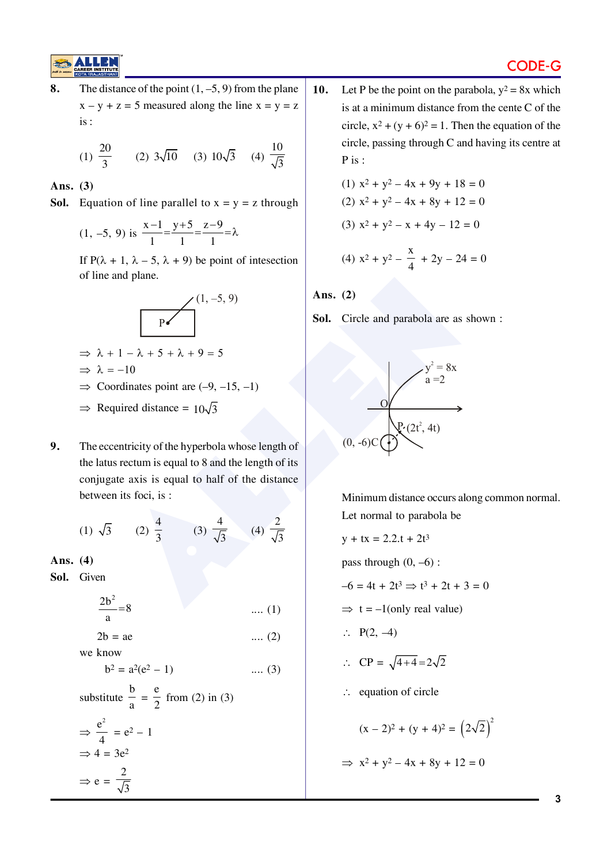## CODE-G

**8.** The distance of the point  $(1, -5, 9)$  from the plane  $x - y + z = 5$  measured along the line  $x = y = z$ is :

(1) 
$$
\frac{20}{3}
$$
 (2)  $3\sqrt{10}$  (3)  $10\sqrt{3}$  (4)  $\frac{10}{\sqrt{3}}$ 

#### **Ans. (3)**

**Sol.** Equation of line parallel to  $x = y = z$  through

$$
(1, -5, 9)
$$
 is  $\frac{x-1}{1} = \frac{y+5}{1} = \frac{z-9}{1} = \lambda$ 

If P( $\lambda$  + 1,  $\lambda$  – 5,  $\lambda$  + 9) be point of intesection of line and plane.



$$
\Rightarrow \lambda + 1 - \lambda + 5 + \lambda + 9 = 5
$$

$$
\Rightarrow \lambda = -10
$$

- $\Rightarrow$  Coordinates point are (-9, -15, -1)
- $\Rightarrow$  Required distance =  $10\sqrt{3}$
- **9.** The eccentricity of the hyperbola whose length of the latus rectum is equal to 8 and the length of its conjugate axis is equal to half of the distance between its foci, is :

(1) 
$$
\sqrt{3}
$$
 (2)  $\frac{4}{3}$  (3)  $\frac{4}{\sqrt{3}}$  (4)  $\frac{2}{\sqrt{3}}$ 

**Ans. (4)**

**Sol.** Given

$$
\frac{2b^2}{a} = 8
$$
 .... (1)

$$
2b = ae \qquad \qquad \dots (2)
$$

we know

$$
b^2 = a^2(e^2 - 1) \qquad \qquad \dots (3)
$$

substitute 
$$
\frac{b}{a} = \frac{e}{2}
$$
 from (2) in (3)  
\n $\Rightarrow \frac{e^2}{4} = e^2 - 1$   
\n $\Rightarrow 4 = 3e^2$   
\n $\Rightarrow e = \frac{2}{\sqrt{3}}$ 

10. Let P be the point on the parabola,  $y^2 = 8x$  which is at a minimum distance from the cente C of the circle,  $x^2 + (y + 6)^2 = 1$ . Then the equation of the circle, passing through C and having its centre at P is :

(1) 
$$
x^2 + y^2 - 4x + 9y + 18 = 0
$$
  
(2)  $x^2 + y^2 - 4x + 8y + 12 = 0$   
(3)  $x^2 + y^2 - x + 4y - 12 = 0$ 

(4) 
$$
x^2 + y^2 - \frac{x}{4} + 2y - 24 = 0
$$

**Ans. (2)**

**Sol.** Circle and parabola are as shown :



Minimum distance occurs along common normal. Let normal to parabola be

 $y + tx = 2.2 \tcdot t + 2t^3$ pass through  $(0, -6)$ :  $-6 = 4t + 2t^3 \Rightarrow t^3 + 2t + 3 = 0$  $\Rightarrow$  t = -1(only real value)  $\therefore$  P(2, -4)  $\therefore CP = \sqrt{4+4} = 2\sqrt{2}$  $\therefore$  equation of circle  $(x - 2)^2 + (y + 4)^2 = (2\sqrt{2})^2$  $\implies$  x<sup>2</sup> + y<sup>2</sup> - 4x + 8y + 12 = 0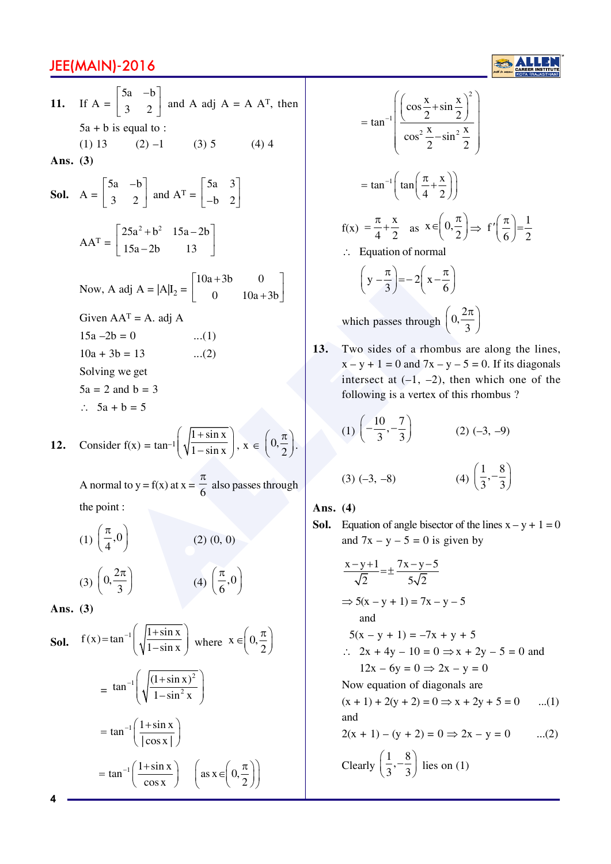adj A =  $|A|I_2 = \begin{bmatrix} 10a+3b & 0 \\ 0 & 10a+3b \end{bmatrix}$   $\begin{cases} y - \frac{x}{3} = -2 \left(x - \frac{x}{6}\right) \\ x - \frac{x}{3} = -2\left(x - \frac{x}{6}\right) \end{cases}$ <br>
AAT = A. adj A (a)<br>
which passes through  $\begin{cases} 0, & \text{if } x - y + 1 = 0 \text{ and } 7x - y - 1 = 0 \text{ and } 7x - y - 1 = 0 \text{ and } 7x - y -$ **11.** If A =  $|5a - b|$  $\begin{bmatrix} 3 & 2 \end{bmatrix}$  $5a - b$  $3 \quad 2 \mid$  and A adj A = A A<sup>T</sup>, then  $5a + b$  is equal to : (1) 13 (2)  $-1$  (3) 5 (4) 4 **Ans. (3) Sol.** A = 5a –b 3 2  $\begin{bmatrix} 5a & -b \\ 3 & 2 \end{bmatrix}$  and  $A^{T} = \begin{bmatrix} 5a & 3 \\ -b & 2 \end{bmatrix}$ | 5a | 3 |  $\begin{bmatrix} -b & 2 \end{bmatrix}$  $AA^T =$  $25a^2 + b^2$  15a – 2b  $\begin{bmatrix} 25a^2 + b^2 & 15a - 2b \\ 15a - 2b & 13 \end{bmatrix}$ Now, A adj A =  $|A|I_2 = \begin{vmatrix} 10a + 3b & 0 \\ 0 & 10a + 3b \end{vmatrix}$  $10a+3b$  0  $\begin{bmatrix} 0 & 10a+3b \end{bmatrix}$ Given  $AA<sup>T</sup> = A$ . adj A  $15a - 2b = 0$  ...(1)  $10a + 3b = 13$  ...(2) Solving we get  $5a = 2$  and  $b = 3$  $\therefore$  5a + b = 5

12. Consider 
$$
f(x) = \tan^{-1}\left(\sqrt{\frac{1 + \sin x}{1 - \sin x}}\right), x \in \left(0, \frac{\pi}{2}\right)
$$
.

A normal to  $y = f(x)$  at  $x =$  $\pi$  $\frac{6}{6}$  also passes through the point :

(1) 
$$
\left(\frac{\pi}{4}, 0\right)
$$
 (2) (0, 0)  
(3)  $\left(0, \frac{2\pi}{3}\right)$  (4)  $\left(\frac{\pi}{6}, 0\right)$ 

**Ans. (3)**

**Sol.** 
$$
f(x) = \tan^{-1} \left( \sqrt{\frac{1 + \sin x}{1 - \sin x}} \right)
$$
 where  $x \in \left( 0, \frac{\pi}{2} \right)$   
\n
$$
= \tan^{-1} \left( \sqrt{\frac{(1 + \sin x)^2}{1 - \sin^2 x}} \right)
$$
\n
$$
= \tan^{-1} \left( \frac{1 + \sin x}{\left( \cos x \right)} \right)
$$
\n
$$
= \tan^{-1} \left( \frac{1 + \sin x}{\cos x} \right) \quad \left( \text{as } x \in \left( 0, \frac{\pi}{2} \right) \right)
$$

$$
= \tan^{-1} \left( \frac{\left( \cos \frac{x}{2} + \sin \frac{x}{2} \right)^2}{\cos^2 \frac{x}{2} - \sin^2 \frac{x}{2}} \right)
$$
  

$$
= \tan^{-1} \left( \tan \left( \frac{\pi}{4} + \frac{x}{2} \right) \right)
$$
  

$$
f(x) = \frac{\pi}{4} + \frac{x}{2} \text{ as } x \in \left( 0, \frac{\pi}{2} \right) \Rightarrow f' \left( \frac{\pi}{6} \right) = \frac{1}{2}
$$
  

$$
\therefore \text{ Equation of normal}
$$
  

$$
\left( y - \frac{\pi}{3} \right) = -2 \left( x - \frac{\pi}{6} \right)
$$
  
which passes through  $\left( 0, \frac{2\pi}{3} \right)$   
Two sides of a rhombus are along the 1

**13.** Two sides of a rhombus are along the lines,  $x - y + 1 = 0$  and  $7x - y - 5 = 0$ . If its diagonals intersect at  $(-1, -2)$ , then which one of the following is a vertex of this rhombus ?

(1) 
$$
\left(-\frac{10}{3}, -\frac{7}{3}\right)
$$
 (2) (-3, -9)

$$
(3) (-3, -8) \qquad \qquad (4) \left(\frac{1}{3}, -\frac{8}{3}\right)
$$

**Ans. (4)**

**Sol.** Equation of angle bisector of the lines  $x - y + 1 = 0$ and  $7x - y - 5 = 0$  is given by

$$
\frac{x-y+1}{\sqrt{2}} = \pm \frac{7x-y-5}{5\sqrt{2}}
$$
  
\n
$$
\Rightarrow 5(x-y+1) = 7x-y-5
$$
  
\nand  
\n
$$
5(x-y+1) = -7x+y+5
$$
  
\n
$$
\therefore 2x + 4y - 10 = 0 \Rightarrow x + 2y - 5 = 0 \text{ and}
$$
  
\n
$$
12x - 6y = 0 \Rightarrow 2x - y = 0
$$
  
\nNow equation of diagonals are  
\n
$$
(x + 1) + 2(y + 2) = 0 \Rightarrow x + 2y + 5 = 0
$$
...(1)  
\nand  
\n
$$
2(x + 1) - (y + 2) = 0 \Rightarrow 2x - y = 0
$$
...(2)

Clearly  $\left(\frac{1}{3}, -\frac{8}{3}\right)$  lies on (1)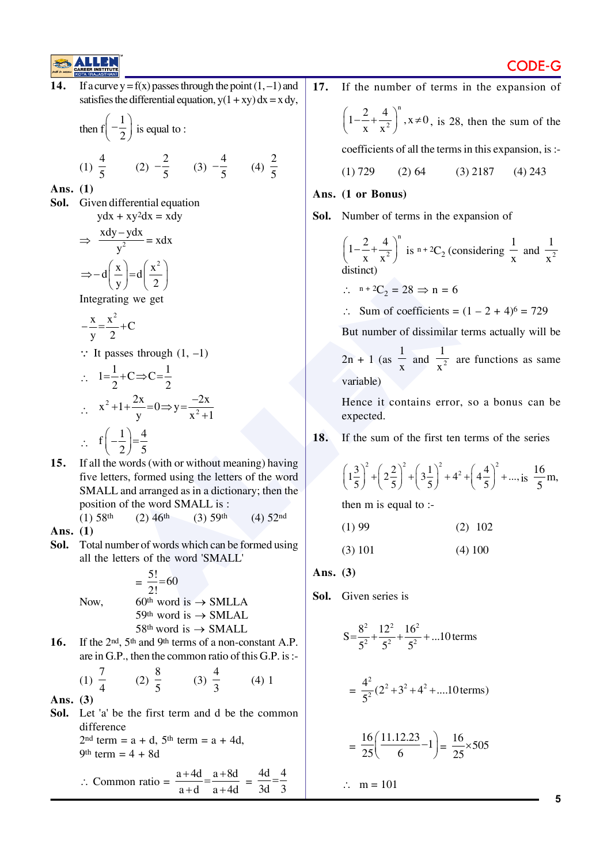

14. If a curve  $y = f(x)$  passes through the point  $(1, -1)$  and satisfies the differential equation,  $y(1 + xy) dx = x dy$ ,

then 
$$
f\left(-\frac{1}{2}\right)
$$
 is equal to :

1) 
$$
\frac{4}{5}
$$
 (2)  $-\frac{2}{5}$  (3)  $-\frac{4}{5}$  (4)  $\frac{2}{5}$ 

**Ans. (1)**

 $($ 

**Sol.** Given differential equation  $ydx + xy^2dx = xdy$ 

$$
\Rightarrow \frac{xdy - ydx}{y^2} = xdx
$$

$$
\Rightarrow -d\left(\frac{x}{y}\right) = d\left(\frac{x^2}{2}\right)
$$
Integrating we get

 $\frac{x}{2} = \frac{x^2}{2} + C$  $=\frac{1}{2}$  +

y 2  

$$
\therefore
$$
 It passes through (1, -1)

$$
\therefore \quad 1 = \frac{1}{2} + C \Rightarrow C = \frac{1}{2}
$$
\n
$$
\therefore \quad x^2 + 1 + \frac{2x}{y} = 0 \Rightarrow y = \frac{-2x}{x^2 + 1}
$$
\n
$$
\therefore \quad f\left(-\frac{1}{2}\right) = \frac{4}{5}
$$

 $\left(\frac{3}{5}\right)^2 + \left(2\frac{2}{5}\right)^2 + \left(3\frac{1}{5}\right)^2 + 4^2$ <br>
and arranged as in a dictionary; then the m is equal to:<br>
the word SMALL is:<br>  $\left(2\right)46^{\text{th}}$  (3) 50<sup>th</sup> word is  $\rightarrow$  SMLLA<br>  $\frac{5!}{2!} = 60$ <br>
Ans. (3)<br>  $\frac{5!}{20} = 60$ <br> **15.** If all the words (with or without meaning) having five letters, formed using the letters of the word SMALL and arranged as in a dictionary; then the position of the word SMALL is : (1)  $58th$  (2)  $46th$  (3)  $59th$  (4)  $52nd$ 

**Ans. (1)**

**Sol.** Total number of words which can be formed using all the letters of the word 'SMALL'

$$
= \frac{5!}{2!} = 60
$$
  
Now,  
60<sup>th</sup> word is  $\rightarrow$  SMLLA  
59<sup>th</sup> word is  $\rightarrow$  SMALL  
58<sup>th</sup> word is  $\rightarrow$  SMALL

16. If the 2<sup>nd</sup>, 5<sup>th</sup> and 9<sup>th</sup> terms of a non-constant A.P. are in G.P., then the common ratio of this G.P. is :-

(1) 
$$
\frac{7}{4}
$$
 (2)  $\frac{8}{5}$  (3)  $\frac{4}{3}$  (4) 1

**Ans. (3)**

**Sol.** Let 'a' be the first term and d be the common difference 2<sup>nd</sup> term =  $a + d$ , 5<sup>th</sup> term =  $a + 4d$ , 9th term  $= 4 + 8d$ 

$$
\therefore \text{ Common ratio} = \frac{a + 4d}{a + d} = \frac{a + 8d}{a + 4d} = \frac{4d}{3d} = \frac{4}{3}
$$

**17.** If the number of terms in the expansion of  $\sqrt{n}$ 

$$
\left(1-\frac{2}{x}+\frac{4}{x^2}\right)^n
$$
,  $x\neq 0$ , is 28, then the sum of the

coefficients of all the terms in this expansion, is :-

$$
(1) 729 \qquad (2) 64 \qquad (3) 2187 \qquad (4) 243
$$

#### **Ans. (1 or Bonus)**

**Sol.** Number of terms in the expansion of

$$
\left(1 - \frac{2}{x} + \frac{4}{x^2}\right)^n
$$
 is  $n + 2C_2$  (considering  $\frac{1}{x}$  and  $\frac{1}{x^2}$  distinct)

$$
\therefore n + 2C_2 = 28 \Rightarrow n = 6
$$

 $\therefore$  Sum of coefficients =  $(1 - 2 + 4)^6 = 729$ 

But number of dissimilar terms actually will be

 $2n + 1$  (as 1  $\frac{1}{x}$  and  $\frac{1}{x^2}$ 1  $\frac{1}{x^2}$  are functions as same variable)

Hence it contains error, so a bonus can be expected.

**18.** If the sum of the first ten terms of the series

$$
\left(1\frac{3}{5}\right)^2 + \left(2\frac{2}{5}\right)^2 + \left(3\frac{1}{5}\right)^2 + 4^2 + \left(4\frac{4}{5}\right)^2 + \dots, \text{ is } \frac{16}{5}m,
$$

then m is equal to :-

$$
(1) 99 \t(2) 102
$$

 $(3) 101$   $(4) 100$ 

**Ans. (3)**

**Sol.** Given series is

$$
S = \frac{8^2}{5^2} + \frac{12^2}{5^2} + \frac{16^2}{5^2} + \dots 10 \text{ terms}
$$
  
=  $\frac{4^2}{5^2} (2^2 + 3^2 + 4^2 + \dots 10 \text{ terms})$ 

$$
= \frac{16}{25} \left( \frac{11.12.23}{6} - 1 \right) = \frac{16}{25} \times 505
$$

$$
\therefore \quad m = 101
$$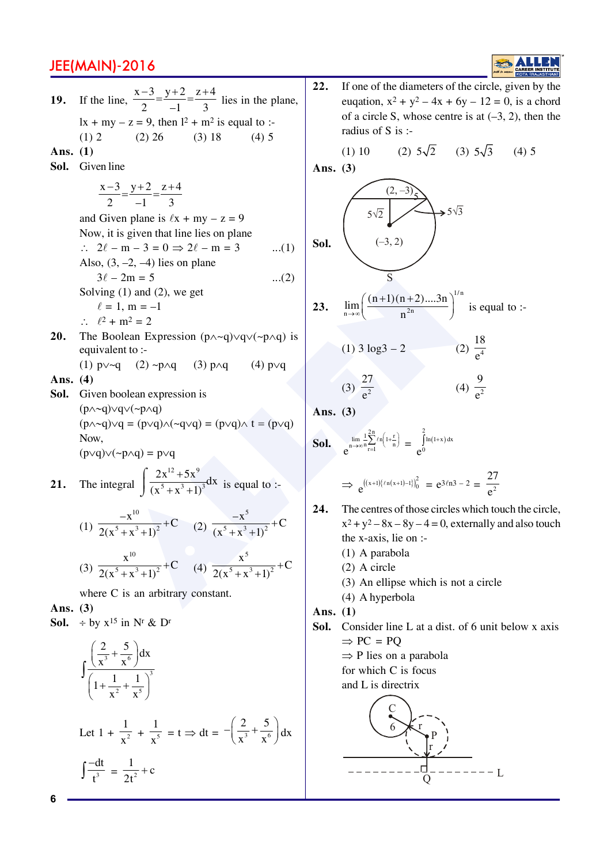

-2m = 5<br>
(1) am (2), we get<br>
olean Expression (p∧-q)vqv(-p∧q) is<br>
-m<sup>2</sup> = 2<br>
olean Expression (p∧-q)vqv(-p∧q) is<br>
-m<sup>2</sup> = 2<br>
olean Expression (p∧-q)vqv(-p∧q) is<br>
(1) 3 log3 - 2<br>
(1) 3 log3 - 2<br>
(1) 3 log3 - 2<br>
(1) 3 log **19.** If the line,  $\frac{x-3}{2} = \frac{y+2}{-1} = \frac{z+4}{3}$  lies in the plane,  $lx + my - z = 9$ , then  $l^2 + m^2$  is equal to :-(1) 2 (2) 26 (3) 18 (4) 5 **Ans. (1) Sol.** Given line  $x - 3$   $y + 2$   $z + 4$ 2  $-1$  3  $\frac{-3}{2} = \frac{y+2}{1} = \frac{z+2}{2}$ and Given plane is  $\ell x + my - z = 9$ Now, it is given that line lies on plane  $\therefore$  2 $\ell - m - 3 = 0 \Rightarrow 2\ell - m = 3$  ...(1) Also,  $(3, -2, -4)$  lies on plane  $3\ell - 2m = 5$  ...(2) Solving (1) and (2), we get  $\ell = 1, m = -1$  $\therefore \quad \ell^2 + m^2 = 2$ **20.** The Boolean Expression  $(p \land \neg q) \lor q \lor (\neg p \land q)$  is equivalent to :- (1)  $p \vee \neg q$  (2)  $\neg p \wedge q$  (3)  $p \wedge q$  (4)  $p \vee q$ **Ans. (4) Sol.** Given boolean expression is  $(p \wedge \neg q) \vee q \vee (\neg p \wedge q)$  $(p \wedge \neg q) \vee q = (p \vee q) \wedge (\neg q \vee q) = (p \vee q) \wedge t = (p \vee q)$ Now,  $(p\vee q)\vee(\sim p\wedge q) = p\vee q$ **21.** The integral  $12, 5v^9$  $\frac{2x^{12}+5x^9}{(x^5+x^3+1)^3}dx$  $(x^3 + x^3 + 1)$  $\ddot{}$  $+x^3 +$  $\sqrt{ }$  $\int \frac{1}{(x^5 + x^3 + 1)^3} dx$  is equal to :-(1) 10  $-\frac{x^{10}}{5+x^3+1^2}+C$  $2(x^3 + x^3 + 1)$  $\frac{x}{(x+1)^2}$  + C (2) 5  $-\frac{x^5}{(x^3+1)^2}+C$  $(x^3 + x^3 + 1)$  $+$  $+ x^3 +$ (3) 10  $\frac{x^{10}}{5+x^3+1^2}$  + C  $2(x^5 + x^3 + 1)$  $\frac{x}{(x+1)^2} + C$  (4) 5  $\frac{\overline{x}^5}{5 + \overline{x}^3 + 1\overline{x}^2} + C$  $2(x^3 + x^3 + 1)$  $\ddot{}$  $+x^3 +$ where C is an arbitrary constant. **Ans. (3) Sol.**  $\div$  by  $x^{15}$  in N<sup>r</sup> & D<sup>r</sup>  $3 \frac{1}{2}$  6 3  $\frac{2}{3} + \frac{5}{6} dx$  $x^3$  x  $1 + \frac{1}{2} + \frac{1}{4}$  $\left(\frac{2}{x^3}+\frac{5}{x^6}\right)$  $\left(1+\frac{1}{x^2}+\frac{1}{x^5}\right)$ J **Sol. 23. Sol.**

Let 
$$
1 + \frac{1}{x^2} + \frac{1}{x^5} = t \Rightarrow dt = -\left(\frac{2}{x^3} + \frac{5}{x^6}\right)dx
$$
  

$$
\int \frac{-dt}{t^3} = \frac{1}{2t^2} + c
$$

2  $\frac{1}{2}$  5

 $x^2$  x

**22.** If one of the diameters of the circle, given by the euqation,  $x^2 + y^2 - 4x + 6y - 12 = 0$ , is a chord of a circle S, whose centre is at  $(-3, 2)$ , then the radius of S is :-

(1) 10 (2)  $5\sqrt{2}$  (3)  $5\sqrt{3}$  (4) 5

Ans. (3)  
\n
$$
\begin{array}{c}\n (2, -3) \\
 \hline\n 5\sqrt{2} \\
 (-3, 2)\n \end{array}
$$
\n5 $\sqrt{3}$   
\nS\n  
\n
$$
\begin{array}{c}\n (2, -3) \\
 \hline\n 5\n \end{array}
$$

23. 
$$
\lim_{n\to\infty}\left(\frac{(n+1)(n+2)...3n}{n^{2n}}\right)^{1/n}
$$
 is equal to :-

(1) 
$$
3 \log 3 - 2
$$
   
\n(2)  $\frac{18}{e^4}$   
\n(3)  $\frac{27}{e^2}$   
\n(4)  $\frac{9}{e^2}$ 

**Ans. (3)**

**col.** 
$$
e^{\lim_{n\to\infty}\frac{1}{n}\sum_{r=1}^{2n}\ell n\left(1+\frac{r}{n}\right)} = e^{2 \ln(1+x) dx}
$$

$$
\Rightarrow e^{((x+1)\{(r_1(x+1)-1)\})_0^2} = e^{3\ell n 3 - 2} = \frac{27}{e^2}
$$

- **24.** The centres of those circles which touch the circle,  $x^2 + y^2 - 8x - 8y - 4 = 0$ , externally and also touch the x-axis, lie on :-
	- (1) A parabola
	- (2) A circle
	- (3) An ellipse which is not a circle
	- (4) A hyperbola
- **Ans. (1)**
- Sol. Consider line L at a dist. of 6 unit below x axis  $\Rightarrow$  PC = PQ
	- $\Rightarrow$  P lies on a parabola
	- for which C is focus
	- and L is directrix

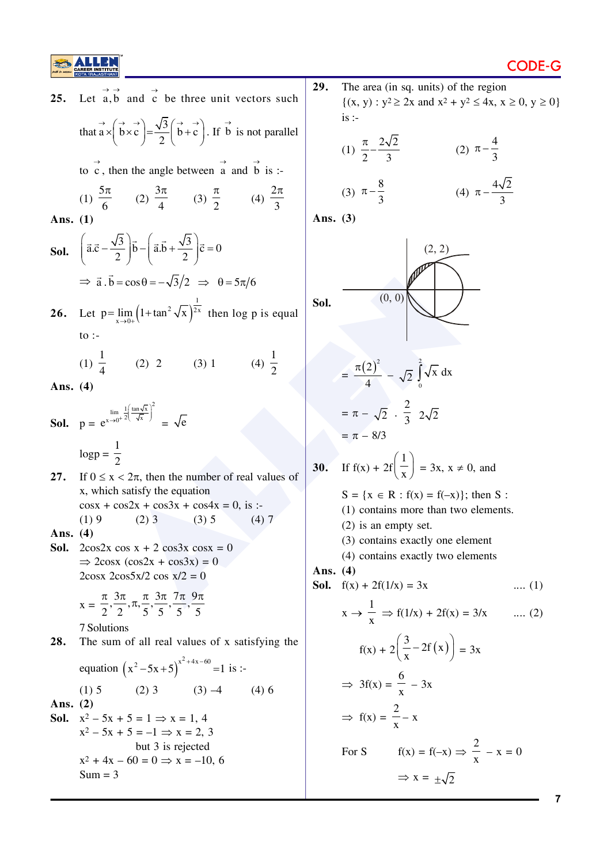![](_page_6_Picture_0.jpeg)

| 25.                | Let $\vec{a}, \vec{b}$ and $\vec{c}$ be three unit vectors such                                                                       | 29.        | The area (in sq. units) of<br>$\{(x, y) : y^2 \ge 2x \text{ and } x^2 + y\}$ |
|--------------------|---------------------------------------------------------------------------------------------------------------------------------------|------------|------------------------------------------------------------------------------|
|                    | that $\vec{a} \times (\vec{b} \times \vec{c}) = \frac{\sqrt{3}}{2} (\vec{b} + \vec{c})$ . If $\vec{b}$ is not parallel                |            | is:<br>(1) $\frac{\pi}{2} - \frac{2\sqrt{2}}{3}$<br>$\overline{C}$           |
|                    | to c, then the angle between $\vec{a}$ and $\vec{b}$ is :-                                                                            |            |                                                                              |
|                    | (1) $\frac{5\pi}{6}$ (2) $\frac{3\pi}{4}$ (3) $\frac{\pi}{2}$ (4) $\frac{2\pi}{3}$                                                    |            | (3) $\pi - \frac{8}{3}$<br>$\overline{(\cdot)}$                              |
| Ans. (1)           |                                                                                                                                       | Ans. $(3)$ |                                                                              |
|                    | <b>Sol.</b> $\left(\vec{a}.\vec{c} - \frac{\sqrt{3}}{2}\right)\vec{b} - \left(\vec{a}.\vec{b} + \frac{\sqrt{3}}{2}\right)\vec{c} = 0$ |            | (2, 2)                                                                       |
|                    | $\Rightarrow$ $\vec{a} \cdot \vec{b} = \cos \theta = -\sqrt{3}/2 \Rightarrow \theta = 5\pi/6$                                         |            |                                                                              |
|                    | 26. Let $p = \lim_{x \to 0+} (1 + \tan^2 \sqrt{x})^{\frac{1}{2x}}$ then log p is equal                                                | Sol.       | (0, 0)                                                                       |
|                    | to $\colon$                                                                                                                           |            |                                                                              |
|                    | (1) $\frac{1}{4}$ (2) 2 (3) 1<br>(4) $\frac{1}{2}$                                                                                    |            | $=\frac{\pi (2)^2}{4}-\sqrt{2}\int \sqrt{x} dx$                              |
| Ans. $(4)$         |                                                                                                                                       |            |                                                                              |
|                    | <b>Sol.</b> $p = e^{x \to 0^+} \frac{1}{2} \left( \frac{\tan \sqrt{x}}{\sqrt{x}} \right)^2 = \sqrt{e}$                                |            | $= \pi - \sqrt{2} \cdot \frac{2}{3} \cdot 2\sqrt{2}$                         |
|                    | $logp = \frac{1}{2}$                                                                                                                  |            | $= \pi - 8/3$                                                                |
| 27.                | If $0 \le x < 2\pi$ , then the number of real values of                                                                               | 30.        | If $f(x) + 2f\left(\frac{1}{x}\right) = 3x, x \neq$                          |
|                    | x, which satisfy the equation<br>$\cos x + \cos 2x + \cos 3x + \cos 4x = 0$ , is :-                                                   |            | $S = \{x \in R : f(x) = f(-x)\}$                                             |
|                    | $(2)$ 3<br>(3) 5<br>(1)9<br>(4)7                                                                                                      |            | $(1)$ contains more than two<br>$(2)$ is an empty set.                       |
| Ans. $(4)$<br>Sol. | $2\cos 2x \cos x + 2 \cos 3x \cos x = 0$                                                                                              |            | (3) contains exactly one e                                                   |
|                    | $\Rightarrow$ 2cosx (cos2x + cos3x) = 0                                                                                               | Ans. $(4)$ | (4) contains exactly two e                                                   |
|                    | $2\cos x \cdot 2\cos 5x/2 \cos x/2 = 0$                                                                                               |            | <b>Sol.</b> $f(x) + 2f(1/x) = 3x$                                            |
|                    | $x = \frac{\pi}{2}, \frac{3\pi}{2}, \pi, \frac{\pi}{5}, \frac{3\pi}{5}, \frac{7\pi}{5}, \frac{9\pi}{5}$                               |            | $x \rightarrow \frac{1}{x} \Rightarrow f(1/x) + 2f(x)$                       |
| 28.                | 7 Solutions<br>The sum of all real values of x satisfying the                                                                         |            | $f(x) + 2\left(\frac{3}{x} - 2f(x)\right)$                                   |
|                    | equation $(x^2-5x+5)^{x^2+4x-60} = 1$ is :-                                                                                           |            |                                                                              |
|                    | $(2) 3$ $(3) -4$<br>$(1)$ 5<br>$(4)$ 6                                                                                                |            | $\Rightarrow 3f(x) = \frac{6}{x} - 3x$                                       |
| Ans. $(2)$<br>Sol. | $x^2 - 5x + 5 = 1 \implies x = 1, 4$<br>$x^2 - 5x + 5 = -1 \implies x = 2, 3$                                                         |            | $\Rightarrow$ f(x) = $\frac{2}{x} - x$                                       |
|                    | but 3 is rejected                                                                                                                     |            | $f(x) = f(-x) =$<br>For S                                                    |
|                    | $x^2 + 4x - 60 = 0 \Rightarrow x = -10, 6$<br>$Sum = 3$                                                                               |            | $\Rightarrow$ x = +. $\sqrt{2}$                                              |

**29.** The area (in sq. units) of the region  $\{(x, y) : y^2 \ge 2x \text{ and } x^2 + y^2 \le 4x, x \ge 0, y \ge 0\}$  $is$  :-

(1) 
$$
\frac{\pi}{2} - \frac{2\sqrt{2}}{3}
$$
 (2)  $\pi - \frac{4}{3}$ 

(3) 
$$
\pi - \frac{8}{3}
$$
 (4)  $\pi - \frac{4\sqrt{2}}{3}$ 

![](_page_6_Figure_7.jpeg)

$$
= \frac{\pi (2)^2}{4} - \sqrt{2} \int_0^2 \sqrt{x} dx
$$
  
=  $\pi - \sqrt{2} \cdot \frac{2}{3} 2\sqrt{2}$   
=  $\pi - 8/3$ 

30. If 
$$
f(x) + 2f\left(\frac{1}{x}\right) = 3x, x \neq 0
$$
, and

$$
S = \{x \in R : f(x) = f(-x)\};
$$
 then S:

(1) contains more than two elements.

- (2) is an empty set.
- (3) contains exactly one element
- (4) contains exactly two elements

**Sol.** 
$$
f(x) + 2f(1/x) = 3x \qquad \qquad \dots (1)
$$

\n
$$
x \to \frac{1}{x} \implies f(1/x) + 2f(x) = 3/x \qquad \dots (2)
$$

\n
$$
f(x) + 2\left(\frac{3}{x} - 2f(x)\right) = 3x
$$

\n
$$
\implies 3f(x) = \frac{6}{x} - 3x
$$

\n
$$
\implies f(x) = \frac{2}{x} - x
$$

\nFor S

\n
$$
f(x) = f(-x) \implies \frac{2}{x} - x = 0
$$

\n
$$
\implies x = \pm \sqrt{2}
$$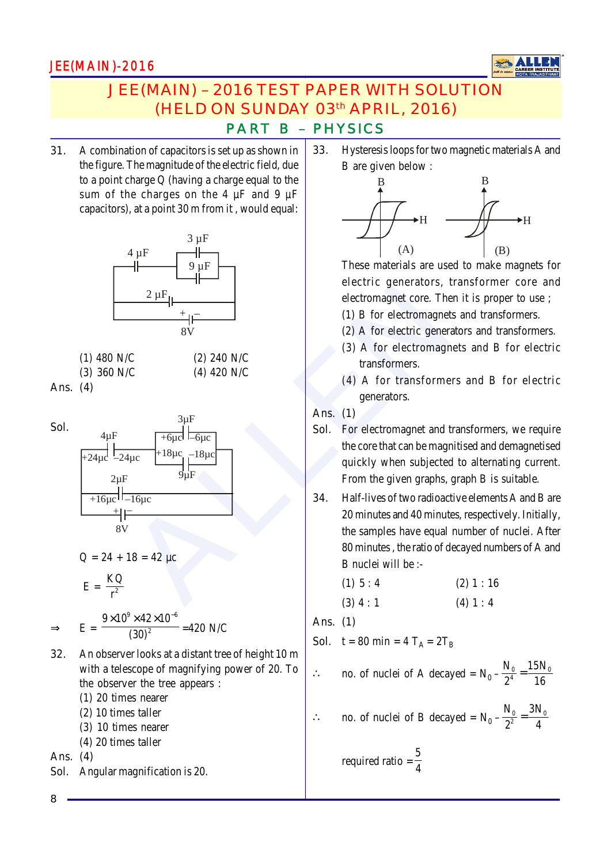![](_page_7_Picture_1.jpeg)

# JEE(MAIN) – 2016 TEST PAPER WITH SOLUTION (HELD ON SUNDAY 03th APRIL, 2016)

### PART B – PHYSICS

**31.** A combination of capacitors is set up as shown in the figure. The magnitude of the electric field, due to a point charge Q (having a charge equal to the sum of the charges on the 4  $\mu$ F and 9  $\mu$ F capacitors), at a point 30 m from it , would equal:

![](_page_7_Figure_5.jpeg)

- (1) 480 N/C (2) 240 N/C (3) 360 N/C (4) 420 N/C
- **Ans. (4)**

![](_page_7_Figure_8.jpeg)

 $Q = 24 + 18 = 42$  µc

$$
E = \frac{KQ}{r^2}
$$

$$
\Rightarrow \qquad E = \frac{9 \times 10^9 \times 42 \times 10^{-6}}{(30)^2} = 420 \text{ N/C}
$$

- **32.** An observer looks at a distant tree of height 10 m with a telescope of magnifying power of 20. To the observer the tree appears :
	- (1) 20 times nearer
	- (2) 10 times taller
	- (3) 10 times nearer
	- (4) 20 times taller

**Ans. (4)**

**8**

**Sol.** Angular magnification is 20.

**33.** Hysteresis loops for two magnetic materials A and B are given below :

![](_page_7_Figure_20.jpeg)

These materials are used to make magnets for electric generators, transformer core and electromagnet core. Then it is proper to use ;

- (1) B for electromagnets and transformers.
- (2) A for electric generators and transformers.
- (3) A for electromagnets and B for electric transformers.
- (4) A for transformers and B for electric generators.

#### **Ans. (1)**

- **Sol.** For electromagnet and transformers, we require the core that can be magnitised and demagnetised quickly when subjected to alternating current. From the given graphs, graph B is suitable.
- **34.** Half-lives of two radioactive elements A and B are 20 minutes and 40 minutes, respectively. Initially, the samples have equal number of nuclei. After 80 minutes , the ratio of decayed numbers of A and B nuclei will be :-
	- (1)  $5:4$  (2)  $1:16$
	- $(3) 4 : 1$   $(4) 1 : 4$

**Ans. (1)**

**Sol.**  $t = 80 \text{ min} = 4 \text{ T}_{A} = 2 \text{T}_{B}$ 

$$
\therefore \qquad \text{no. of nuclei of A decayed} = N_0 - \frac{N_0}{2^4} = \frac{15N_0}{16}
$$

∴ no. of nuclei of B decayed =  $N_0 - \frac{N_0}{2^2} = \frac{3N_0}{4}$  $\frac{N_0}{2^2} = \frac{3N_0}{4}$ 

required ratio  $=\frac{5}{4}$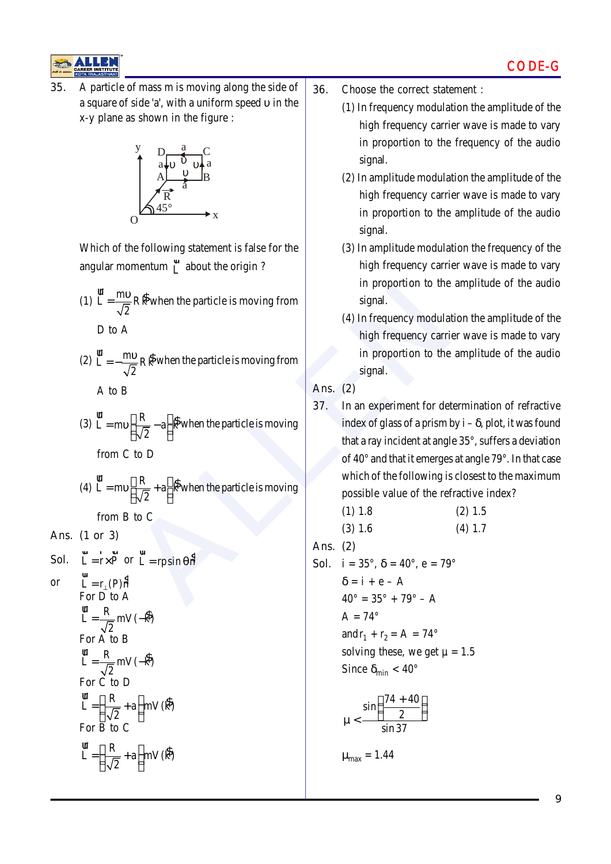![](_page_8_Picture_1.jpeg)

**35.** A particle of mass m is moving along the side of a square of side 'a', with a uniform speed υ in the x-y plane as shown in the figure :

![](_page_8_Figure_3.jpeg)

Which of the following statement is false for the angular momentum  $\overline{L}$  about the origin?

- (1)  $\frac{\mathbf{u}}{\mathbf{L}} = \frac{\mathbf{m} \mathbf{v}}{E} \mathbf{R} \mathbf{R}$ 2  $L = \frac{mv}{\sqrt{2}}$ when the particle is moving from D to A
- (2)  $\mathbf{I} = -\frac{mv}{\sqrt{2}}R\hat{R}$ 2  $L = -\frac{mv}{\sqrt{2}}R\hat{R}$  when the particle is moving from A to B
- (3)  $\frac{d\mathbf{r}}{L} = mv \frac{R}{\sqrt{2}} a \frac{R}{R}$  $L = mv \left[ \frac{R}{\sqrt{2}} - a \right]$ when the particle is moving from C to D
- (4)  $\frac{d\mathbf{r}}{L} = mv \frac{R}{\sqrt{2}} + a \frac{R}{R}$  $L = mv \left[ \frac{R}{\sqrt{2}} + a \right]$ when the particle is moving from B to C

**Ans. (1 or 3)**

**Sol.**  $L = r \times P$  $L = r \times P$  or  $L = r \sin \theta h$ 

or 
$$
L = r_{\perp}(P)\hat{n}
$$
  
For D to A  

$$
r = \frac{R}{\sqrt{2}} mV(-\hat{R})
$$
  
For A to B  

$$
r = \frac{R}{\sqrt{2}} mV(-\hat{R})
$$
  
For C to D  

$$
r = \left(\frac{R}{\sqrt{2}} + a\right) mV(\hat{R})
$$
  
For B to C  

$$
r = \left(\frac{R}{\sqrt{2}} + a\right) mV(\hat{R})
$$

- **36.** Choose the correct statement :
	- (1) In frequency modulation the amplitude of the high frequency carrier wave is made to vary in proportion to the frequency of the audio signal.
	- (2) In amplitude modulation the amplitude of the high frequency carrier wave is made to vary in proportion to the amplitude of the audio signal.
	- (3) In amplitude modulation the frequency of the high frequency carrier wave is made to vary in proportion to the amplitude of the audio signal.
	- (4) In frequency modulation the amplitude of the high frequency carrier wave is made to vary in proportion to the amplitude of the audio signal.

**Ans. (2)**

Example 1 and the particle is moving from<br>  $\frac{10}{2}$  R  $\hat{k}$  when the particle is moving from<br>  $\frac{10}{2}$  R  $\hat{k}$  when the particle is moving from<br>  $\left[\frac{R}{\sqrt{2}}-a\right]$   $\hat{k}$  when the particle is moving<br>
to D<br>  $\left[\frac{R}{$ **37.** In an experiment for determination of refractive index of glass of a prism by  $i - \delta$ , plot, it was found that a ray incident at angle 35°, suffers a deviation of 40° and that it emerges at angle 79°. In that case which of the following is closest to the maximum possible value of the refractive index?

(1) 1.8 (2) 1.5 (3) 1.6 (4) 1.7

**Ans. (2)**

**Sol.**  $i = 35^{\circ}, \delta = 40^{\circ}, e = 79^{\circ}$  $\delta = i + e - A$ 

> $40^{\circ} = 35^{\circ} + 79^{\circ} - A$  $A = 74^\circ$ and  $r_1 + r_2 = A = 74^\circ$ solving these, we get  $\mu = 1.5$ Since  $\delta_{\min}$  < 40°

$$
\mu<\frac{\sin\left(\frac{74+40}{2}\right)}{\sin 37}
$$

 $\mu_{\text{max}} = 1.44$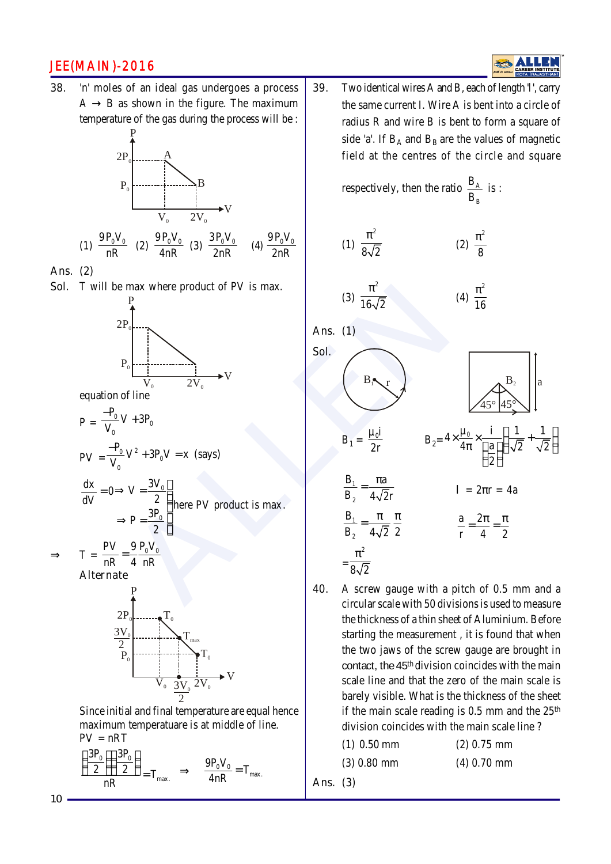**38.** 'n' moles of an ideal gas undergoes a process  $A \rightarrow B$  as shown in the figure. The maximum temperature of the gas during the process will be :

![](_page_9_Figure_2.jpeg)

**Ans. (2)**

**Sol.** T will be max where product of PV is max.

![](_page_9_Figure_5.jpeg)

equation of line

$$
P = \frac{-P_0}{V_0}V + 3P_0
$$
  
\n
$$
PV = \frac{-P_0}{V_0}V^2 + 3P_0V = x \text{ (says)}
$$

$$
\frac{dx}{dV} = 0 \Rightarrow V = \frac{3V_0}{2}
$$
\n
$$
\Rightarrow P = \frac{3P_0}{2}
$$
\nhere PV product is max.

$$
\Rightarrow \qquad T = \frac{PV}{nR} = \frac{9}{4} \frac{P_0 V_0}{nR}
$$

**Alternate**

![](_page_9_Figure_11.jpeg)

Since initial and final temperature are equal hence maximum temperatuare is at middle of line.  $PV = nRT$ 

$$
\frac{\left(\frac{3P_{_0}}{2}\right)\left(\frac{3P_{_0}}{2}\right)}{nR}=T_{\text{max.}}\quad\Rightarrow\quad\frac{9P_{_0}V_{_0}}{4nR}=T_{\text{max.}}
$$

**39.** Two identical wires A and B, each of length '*l*', carry the same current I. Wire A is bent into a circle of radius R and wire B is bent to form a square of side 'a'. If  $B_A$  and  $B_B$  are the values of magnetic field at the centres of the circle

ALLEN respectively, then the ratio A B B B is : (1) 2 8 2 π (2) 2 8 π (3) 2 16 2 π (4) 2 16 π **Ans. (1) Sol.** B1 r B2 45° 45° a B1 = µ i0 2r B2= µ i 1 1 <sup>0</sup> <sup>4</sup> 4 a 2 2 2 × × + π 1 2 B a B 4 2r <sup>π</sup> <sup>=</sup> <sup>l</sup>= 2πr = 4a 1 2 B B 2 4 2 π π <sup>=</sup> a 2 r 4 2 π π = = = 2 8 2 π

**40.** A screw gauge with a pitch of 0.5 mm and a circular scale with 50 divisions is used to measure the thickness of a thin sheet of Aluminium. Before starting the measurement , it is found that when the two jaws of the screw gauge are brought in contact, the 45th division coincides with the main scale line and that the zero of the main scale is barely visible. What is the thickness of the sheet if the main scale reading is  $0.5$  mm and the  $25<sup>th</sup>$ division coincides with the main scale line ?

| $(1)$ 0.50 mm | $(2)$ 0.75 mm |
|---------------|---------------|
| $(3)$ 0.80 mm | $(4)$ 0.70 mm |

**Ans. (3)**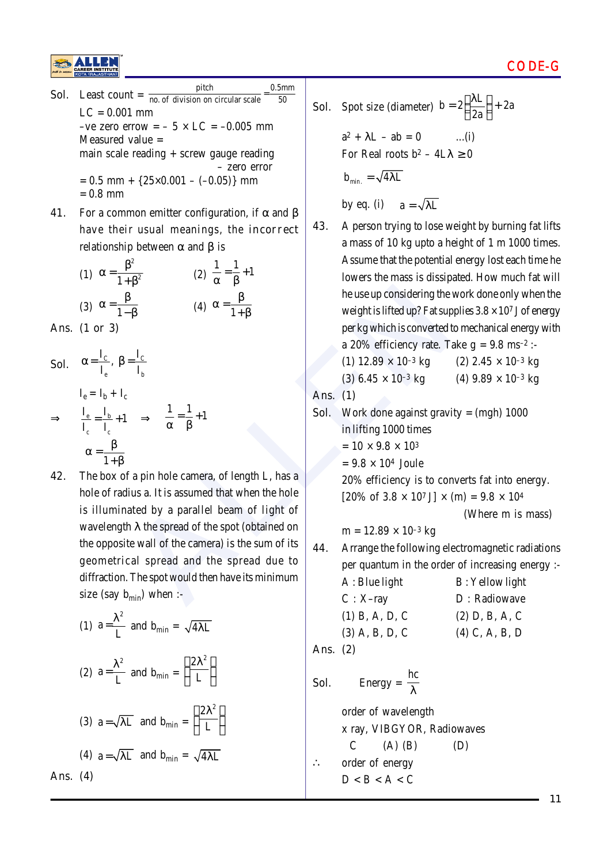![](_page_10_Picture_0.jpeg)

- **Sol.** Least count =  $\frac{\text{pitch}}{\text{no. of division on circular scale}} = \frac{0.5 \text{mm}}{50}$  $LC = 0.001$  mm –ve zero errow =  $-5 \times LC = -0.005$  mm Measured value = main scale reading + screw gauge reading – zero error  $= 0.5$  mm +  $\{25 \times 0.001 - (-0.05)\}\$  mm  $= 0.8$  mm
- **41.** For a common emitter configuration, if  $\alpha$  and  $\beta$ have their usual meanings, the **incorrect** relationship between  $\alpha$  and  $\beta$  is

| (1) $\alpha = \frac{\beta^2}{1 + \beta^2}$ | (2) $\frac{1}{\alpha} = \frac{1}{\beta} + 1$ |
|--------------------------------------------|----------------------------------------------|
| (3) $\alpha = \frac{\beta}{1-\beta}$       | (4) $\alpha = \frac{\beta}{1+\beta}$         |

**Ans. (1 or 3)**

- **Sol.**  $\alpha = \frac{I_c}{I_e}$ ,  $\beta = \frac{I_c}{I_b}$  $I_e = I_b + I_c$  $\Rightarrow \frac{1}{\tau} = \frac{1}{\tau}$  $c \qquad \text{L}_c$  $I_e = \frac{I_b}{I} + 1$  $I_c$  I  $=\frac{I_{b}}{I_{c}}+1 \Rightarrow \frac{1}{\alpha}=\frac{1}{\beta}+1$ α β 1  $\alpha = \frac{\beta}{\alpha}$ + β
- B<br>  $\frac{1}{\beta}$ <br>  $\frac{1}{\beta}$ <br>  $\frac{1}{\alpha} = \frac{1}{\beta} + 1$ <br>  $\frac{1}{\alpha}$ <br> **ALLENDE ALLENDE ALLENDE ALLENDE ALLENDE ALLENDE ALLENDE ARE ALLEND per kg which is converted to<br>**  $\alpha$  **20% efficiency rate. Take<br>**  $\frac{1}{\alpha} = \frac{1}{\beta} + 1$ **<br>
Ans. 42.** The box of a pin hole camera, of length L, has a hole of radius a. It is assumed that when the hole is illuminated by a parallel beam of light of wavelength  $\lambda$  the spread of the spot (obtained on the opposite wall of the camera) is the sum of its geometrical spread and the spread due to diffraction. The spot would then have its minimum size (say  $b_{\text{min}}$ ) when :-

(1) 
$$
a = \frac{\lambda^2}{L}
$$
 and  $b_{\min} = \sqrt{4\lambda L}$   
\n(2)  $a = \frac{\lambda^2}{L}$  and  $b_{\min} = \left(\frac{2\lambda^2}{L}\right)$   
\n(3)  $a = \sqrt{\lambda L}$  and  $b_{\min} = \left(\frac{2\lambda^2}{L}\right)$   
\n(4)  $a = \sqrt{\lambda L}$  and  $b_{\min} = \sqrt{4\lambda L}$   
\n(4)

Ans.

**Sol.** Spot size (diameter)  $b = 2\left(\frac{\lambda L}{2a}\right) + 2a$ 2a  $=2\left(\frac{\lambda L}{2a}\right)+$ 

> $a^{2} + \lambda L - ab = 0$  ...(i) For Real roots  $b^2 - 4L\lambda \ge 0$

$$
\mathbf{b}_{\min.} = \sqrt{4\lambda L}
$$

by eq. (i)  $a = \sqrt{\lambda L}$ 

**43.** A person trying to lose weight by burning fat lifts a mass of 10 kg upto a height of 1 m 1000 times. Assume that the potential energy lost each time he lowers the mass is dissipated. How much fat will he use up considering the work done only when the weight is lifted up? Fat supplies  $3.8 \times 10^7$  J of energy per kg which is converted to mechanical energy with a 20% efficiency rate. Take  $g = 9.8$  ms<sup>-2</sup> :-

(1) 
$$
12.89 \times 10^{-3}
$$
 kg (2)  $2.45 \times 10^{-3}$  kg

$$
(3) 6.45 \times 10^{-3} \text{ kg} \qquad (4) 9.89 \times 10^{-3} \text{ kg}
$$

**Ans. (1)**

**Sol.** Work done against gravity = (mgh) 1000

- in lifting 1000 times
- $= 10 \times 9.8 \times 10^{3}$
- $= 9.8 \times 10^4$  Joule

20% efficiency is to converts fat into energy.  $[20\% \text{ of } 3.8 \times 10^7 \text{ J}] \times (m) = 9.8 \times 10^4$ 

(Where m is mass)

 $m = 12.89 \times 10^{-3}$  kg

**44.** Arrange the following electromagnetic radiations per quantum in the order of increasing energy :-

| A: Blue light    | <b>B</b> : Yellow light |
|------------------|-------------------------|
| $C: X-ray$       | D : Radiowave           |
| $(1)$ B, A, D, C | $(2)$ D, B, A, C        |
| $(3)$ A, B, D, C | $(4)$ C, A, B, D        |
|                  |                         |

**Ans. (2)**

**Sol.** Energy = 
$$
\frac{hc}{\lambda}
$$
 order of wavelength **x** ray, VIBGYOR, Radiowaves

 $C$  (A) (B) (D) ∴ order of energy

 $D < B < A < C$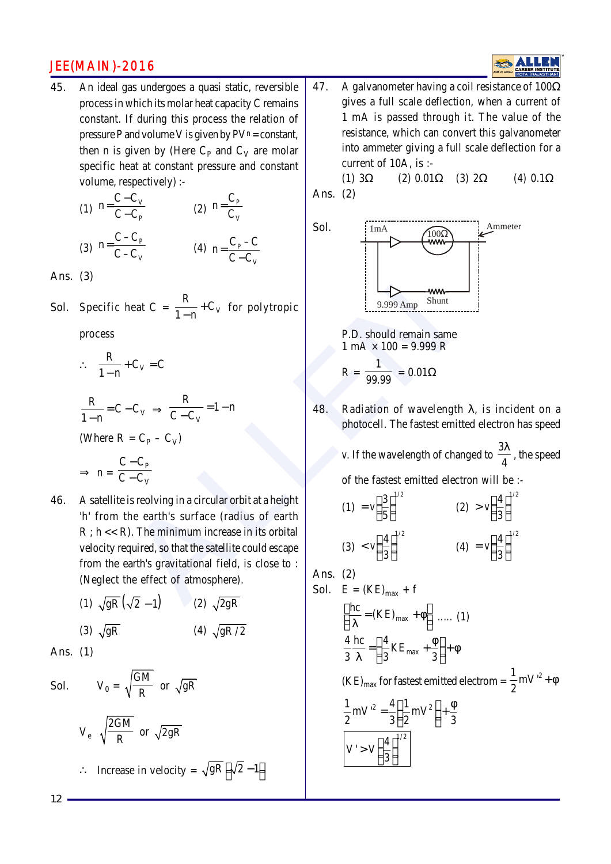**45.** An ideal gas undergoes a quasi static, reversible process in which its molar heat capacity C remains constant. If during this process the relation of pressure P and volume V is given by  $PV^n = constant$ , then n is given by (Here  $C_p$  and  $C_V$  are molar specific heat at constant pressure and constant volume, respectively) :-

(1) 
$$
n = \frac{C - C_V}{C - C_P}
$$
  
\n(2)  $n = \frac{C_P}{C_V}$   
\n(3)  $n = \frac{C - C_P}{C - C_V}$   
\n(4)  $n = \frac{C_P - C}{C - C_V}$ 

**Ans. (3)**

**Sol.** Specific heat  $C = \frac{R}{1 - R} + C_V$  $\frac{1}{1-n}$  + C<sub>V</sub> for polytropic

process

 $\therefore \quad \frac{R}{1 - R} + C_V = C$  $\frac{1}{1-n} + C_V =$ 

$$
\frac{R}{1-n} = C - C_V \implies \frac{R}{C - C_V} = 1 - n
$$

(Where  $R = C_P - C_V$ )

$$
\Rightarrow n = \frac{C - C_p}{C - C_V}
$$

- neat C =  $\frac{R}{1-n}$  + C<sub>V</sub> for polytropic<br>
P.D. should remain same<br>  $C_V = C$ <br>  $C_V \Rightarrow \frac{R}{C-C_V} = 1-n$ <br>  $= C_P C_V$ <br>  $\frac{-C_P}{C_V}$ <br>
is reolving in a circular orbit at a height<br>
D. The minimum increase in its orbital<br>
P.D. should rema **46.** A satellite is reolving in a circular orbit at a height 'h' from the earth's surface (radius of earth  $R$ ;  $h \ll R$ ). The minimum increase in its orbital velocity required, so that the satellite could escape from the earth's gravitational field, is close to : (Neglect the effect of atmosphere).
	- (1)  $\sqrt{gR}(\sqrt{2}-1)$  (2)  $\sqrt{2gR}$ (3)  $\sqrt{gR}$  (4)  $\sqrt{gR/2}$

**Ans. (1)**

**Sol.** 
$$
V_0 = \sqrt{\frac{GM}{R}}
$$
 or  $\sqrt{gR}$   
  
 $V_e = \sqrt{\frac{2GM}{R}}$  or  $\sqrt{2gR}$   
∴ Increase in velocity =  $\sqrt{gR} [\sqrt{2} - 1]$ 

**47.** A galvanometer having a coil resistance of 100Ω gives a full scale deflection, when a current of 1 mA is passed through it. The value of the resistance, which can convert this galvanometer into ammeter giving a full scale deflection for a current of 10A, is :-

(1)  $3\Omega$  (2)  $0.01\Omega$  (3)  $2\Omega$  (4)  $0.1\Omega$ **Ans. (2)**

![](_page_11_Figure_16.jpeg)

P.D. should remain same  
\n
$$
1 \text{ mA} \times 100 = 9.999 \text{ R}
$$
  
\n $R = \frac{1}{99.99} = 0.01 \Omega$ 

**48.** Radiation of wavelength λ, is incident on a photocell. The fastest emitted electron has speed

*v*. If the wavelength of changed to  $\frac{3\lambda}{4}$ , the speed

of the fastest emitted electron will be :-

$$
(1) = v \left(\frac{3}{5}\right)^{1/2}
$$
  
\n
$$
(2) > v \left(\frac{4}{3}\right)^{1/2}
$$
  
\n
$$
(3) < v \left(\frac{4}{3}\right)^{1/2}
$$
  
\n
$$
(4) = v \left(\frac{4}{3}\right)^{1/2}
$$

**Ans. (2)**

**Sol.** E = (KE)<sub>max</sub> + f  
\n
$$
\left[\frac{hc}{\lambda} = (KE)_{max} + \phi\right] \dots (1)
$$
\n
$$
\frac{4}{3} \frac{hc}{\lambda} = \left(\frac{4}{3} KE_{max} + \frac{\phi}{3}\right) + \phi
$$
\n(KE)<sub>max</sub> for fastest emitted electron =  $\frac{1}{2} mV'^2 + \phi$   
\n
$$
\frac{1}{2} mV'^2 = \frac{4}{3} \left(\frac{1}{2} mV^2\right) + \frac{\phi}{3}
$$
\n
$$
V' > V \left(\frac{4}{3}\right)^{1/2}
$$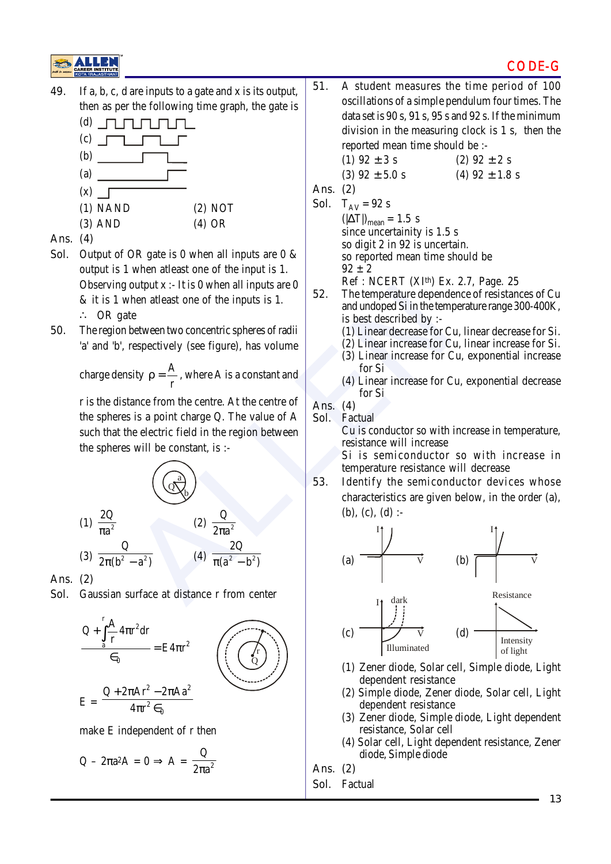#### CODE-G

![](_page_12_Picture_1.jpeg)

**49.** If a, b, c, d are inputs to a gate and x is its output, then as per the following time graph, the gate is

![](_page_12_Figure_3.jpeg)

- **Ans. (4)**
- **Sol.** Output of OR gate is 0 when all inputs are 0 & output is 1 when atleast one of the input is 1. Observing output  $x : I$  is 0 when all inputs are 0 & it is 1 when atleast one of the inputs is 1. ∴ OR gate
- **50.** The region between two concentric spheres of radii 'a' and 'b', respectively (see figure), has volume

charge density  $\rho = \frac{A}{A}$ r  $\rho = \frac{1}{n}$ , where A is a constant and

r is the distance from the centre. At the centre of the spheres is a point charge Q. The value of A such that the electric field in the region between the spheres will be constant, is :-

![](_page_12_Figure_9.jpeg)

**Ans. (2)**

**Sol.** Gaussian surface at distance r from center

![](_page_12_Figure_12.jpeg)

$$
E = \frac{Q + z\pi A r^2 - z\pi A r^2}{4\pi r^2 \epsilon_0}
$$

make E independent of r then

$$
Q - 2\pi a^2 A = 0 \Rightarrow A = \frac{Q}{2\pi a^2}
$$

**51.** A student measures the time period of 100 oscillations of a simple pendulum four times. The data set is 90 s, 91 s, 95 s and 92 s. If the minimum division in the measuring clock is 1 s, then the reported mean time should be :-

(1) 
$$
92 \pm 3
$$
 s  
\n(2)  $92 \pm 2$  s  
\n(3)  $92 \pm 5.0$  s  
\n(4)  $92 \pm 1.8$  s

**Ans. (2)**

- **Sol.**  $T_{AV} = 92 s$  $(|\Delta T|)_{\text{mean}} = 1.5$  s since uncertainity is 1.5 s so digit 2 in 92 is uncertain. so reported mean time should be  $92 \pm 2$ 
	- Ref : NCERT (XIth) Ex. 2.7, Page. 25
- **52.** The temperature dependence of resistances of Cu and undoped Si in the temperature range 300-400K, is best described by :-
	- (1) Linear decrease for Cu, linear decrease for Si.
	- (2) Linear increase for Cu, linear increase for Si.
	- (3) Linear increase for Cu, exponential increase for Si
	- (4) Linear increase for Cu, exponential decrease for Si

**Ans. (4)**

**Sol.** Factual

Cu is conductor so with increase in temperature, resistance will increase

Si is semiconductor so with increase in temperature resistance will decrease

**53.** Identify the semiconductor devices whose characteristics are given below, in the order (a), (b), (c), (d) :-

![](_page_12_Figure_31.jpeg)

- (1) Zener diode, Solar cell, Simple diode, Light dependent resistance
- (2) Simple diode, Zener diode, Solar cell, Light dependent resistance
- (3) Zener diode, Simple diode, Light dependent resistance, Solar cell
- (4) Solar cell, Light dependent resistance, Zener diode, Simple diode

**Ans. (2)**

**Sol.** Factual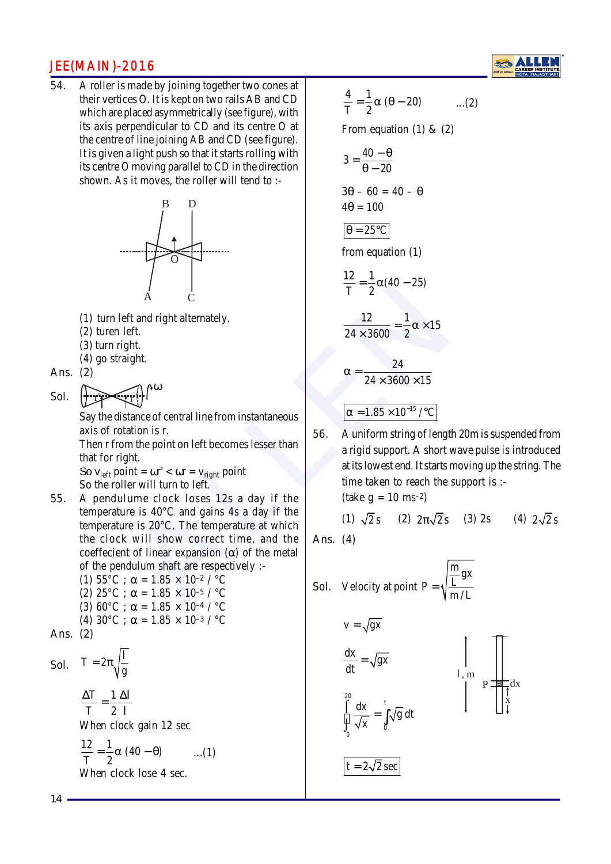**54.** A roller is made by joining together two cones at their vertices O. It is kept on two rails AB and CD which are placed asymmetrically (see figure), with its axis perpendicular to CD and its centre O at the centre of line joining AB and CD (see figure). It is given a light push so that it starts rolling with its centre O moving parallel to CD in the direction shown. As it moves, the roller will tend to :-

![](_page_13_Figure_2.jpeg)

(1) turn left and right alternately.

ω

- (2) turen left.
- (3) turn right.
- (4) go straight.

**Ans. (2)**

Sol.

Say the distance of central line from instantaneous axis of rotation is r.

Then r from the point on left becomes lesser than that for right.

So  $v_{\text{left}}$  point =  $\omega r' < \omega r = v_{\text{right}}$  point So the roller will turn to left.

- ALLEN **55.** A pendulume clock loses 12s a day if the temperature is 40°C and gains 4s a day if the temperature is 20°C. The temperature at which the clock will show correct time, and the coeffecient of linear expansion (α) of the metal of the pendulum shaft are respectively :-
	- (1)  $55^{\circ}$ C ;  $\alpha = 1.85 \times 10^{-2}$  /  $^{\circ}$ C (2)  $25^{\circ}$ C;  $\alpha = 1.85 \times 10^{-5}$  /  $^{\circ}$ C (3) 60°C ;  $\alpha = 1.85 \times 10^{-4}$  / °C (4)  $30^{\circ}$ C ;  $\alpha = 1.85 \times 10^{-3}$  /  $^{\circ}$ C

**Ans. (2)**

**Sol.**  $T = 2\pi \sqrt{\frac{1}{g}}$  $= 2\pi\sqrt{\frac{1}{2}}$ T 1 T 2  $\frac{\Delta T}{T} = \frac{1}{2} \frac{\Delta l}{r}$ l When clock gain 12 sec  $\frac{12}{T} = \frac{1}{2}\alpha (40 - \theta)$  ...(1) When clock lose 4 sec.

$$
\frac{4}{T} = \frac{1}{2}\alpha \left(\theta - 20\right) \qquad \dots (2)
$$

From equation (1) &  $(2)$ 

$$
3 = \frac{40 - \theta}{\theta - 20}
$$
  
3\theta - 60 = 40 - \theta  
4\theta = 100

$$
\theta = 25^{\circ}\mathrm{C}
$$

from equation (1)

$$
\frac{12}{T} = \frac{1}{2}\alpha(40 - 25)
$$

$$
\frac{12}{24 \times 3600} = \frac{1}{2}\alpha \times 15
$$

$$
\alpha = \frac{24}{24 \times 3600 \times 15}
$$

$$
\alpha = 1.85 \times 10^{-15} / ^{\circ}C
$$

**56.** A uniform string of length 20m is suspended from a rigid support. A short wave pulse is introduced at its lowest end. It starts moving up the string. The time taken to reach the support is :-  $(take g = 10 ms^{-2})$ 

(1) 
$$
\sqrt{2}
$$
 s (2)  $2\pi\sqrt{2}$  s (3) 2s (4)  $2\sqrt{2}$  s

x

dx

**Ans. (4)**

**Sol.** Velocity at point P = 
$$
\sqrt{\frac{\frac{m}{L}gx}}{m/L}
$$
  
\n $v = \sqrt{gx}$   
\n $\frac{dx}{dt} = \sqrt{gx}$   
\n $\int_{0}^{20} \frac{dx}{\sqrt{x}} = \int_{0}^{t} \sqrt{g} dt$ 

 $t = 2\sqrt{2}$  sec

**14**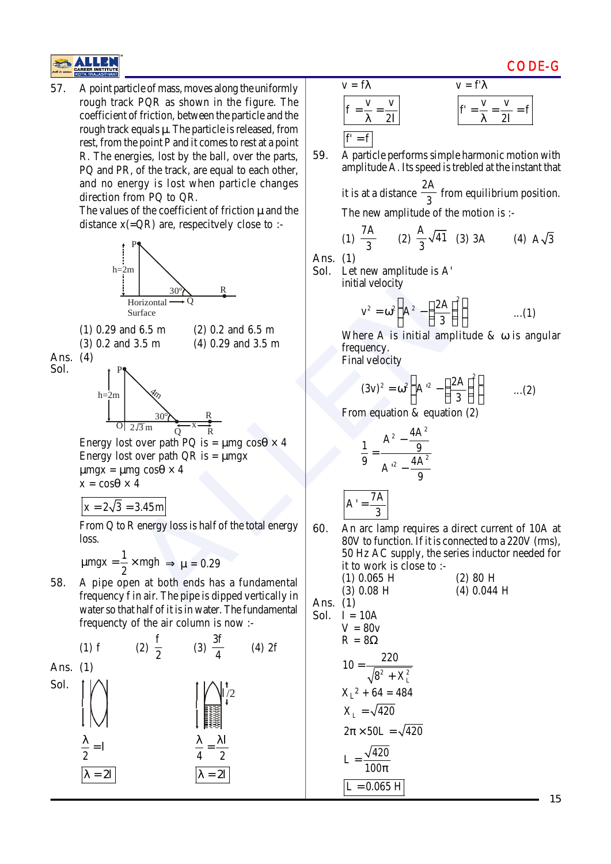![](_page_14_Picture_0.jpeg)

**57.** A point particle of mass, moves along the uniformly rough track PQR as shown in the figure. The coefficient of friction, between the particle and the rough track equals μ. The particle is released, from rest, from the point P and it comes to rest at a point R. The energies, lost by the ball, over the parts, PQ and PR, of the track, are equal to each other, and no energy is lost when particle changes direction from PQ to QR.

> The values of the coefficient of friction  $\mu$  and the distance  $x(=QR)$  are, respectively close to :-

![](_page_14_Figure_3.jpeg)

 $x = 2\sqrt{3} = 3.45$  m

**Ans. (1)**

 $\lambda = 2l$ 

From Q to R energy loss is half of the total energy loss.

$$
\mu mgx = \frac{1}{2} \times mgh \implies \mu = 0.29
$$

**58.** A pipe open at both ends has a fundamental frequency f in air. The pipe is dipped vertically in water so that half of it is in water. The fundamental frequencty of the air column is now :-

(1) f (2) 
$$
\frac{f}{2}
$$
 (3)  $\frac{3f}{4}$  (4) 2f  
\n**Ans.** (1)  
\n**Sol.**  $\begin{bmatrix} 1 \\ 1 \\ 2 \end{bmatrix}$   $\begin{bmatrix} 1 \\ 1 \\ 2 \end{bmatrix}$   $\begin{bmatrix} 1 \\ 1 \\ 2 \end{bmatrix}$   $\begin{bmatrix} 1 \\ 1 \\ 2 \end{bmatrix}$   $\begin{bmatrix} 1 \\ 1 \\ 2 \end{bmatrix}$   $\begin{bmatrix} 1 \\ 2 \\ 4 \end{bmatrix}$ 

 $\lambda = 2l$ 

$$
v = f\lambda
$$
  
\n
$$
r = f'\lambda
$$
  
\n
$$
f' = \frac{v}{\lambda} = \frac{v}{2l}
$$
  
\n
$$
r' = \frac{v}{\lambda} = \frac{v}{2l}
$$
  
\n
$$
r' = \frac{v}{\lambda} = \frac{v}{2l}
$$

**59.** A particle performs simple harmonic motion with amplitude A. Its speed is trebled at the instant that

it is at a distance  $\frac{2A}{3}$  from equilibrium position.

The new amplitude of the motion is :-

(1) 
$$
\frac{7A}{3}
$$
 (2)  $\frac{A}{3}\sqrt{41}$  (3) 3A (4)  $A\sqrt{3}$ 

**Ans. (1)**

**Sol.** Let new amplitude is A' initial velocity

$$
v^2 = \omega^2 \left( A^2 - \left( \frac{2A}{3} \right)^2 \right) \qquad \qquad ...(1)
$$

Where A is initial amplitude & ω is angular frequency.

Final velocity

$$
(3v)^2 = \omega^2 \left( A^2 - \left( \frac{2A}{3} \right)^2 \right) \qquad \dots (2)
$$

From equation & equation (2)

$$
\frac{1}{9} = \frac{A^2 - \frac{4A^2}{9}}{A'^2 - \frac{4A^2}{9}}
$$

7A A 3 =

**60.** An arc lamp requires a direct current of 10A at 80V to function. If it is connected to a 220V (rms), 50 Hz AC supply, the series inductor needed for it to work is close to :-  $(1)$  0.065 H  $(2)$  80 H

$$
(3) 0.08 \text{ H} \qquad (4) 0.044 \text{ H}
$$

**Ans. (1)** Sol.  $I = 10A$  $V = 80v$ 

$$
R = 822
$$
  
\n
$$
10 = \frac{220}{\sqrt{8^2 + X_L^2}}
$$
  
\n
$$
X_L^2 + 64 = 484
$$
  
\n
$$
X_L = \sqrt{420}
$$
  
\n
$$
2\pi \times 50L = \sqrt{420}
$$
  
\n
$$
L = \frac{\sqrt{420}}{100\pi}
$$

 $L = 0.065$  H

 $\Omega$ 

CODE-G

f

v

2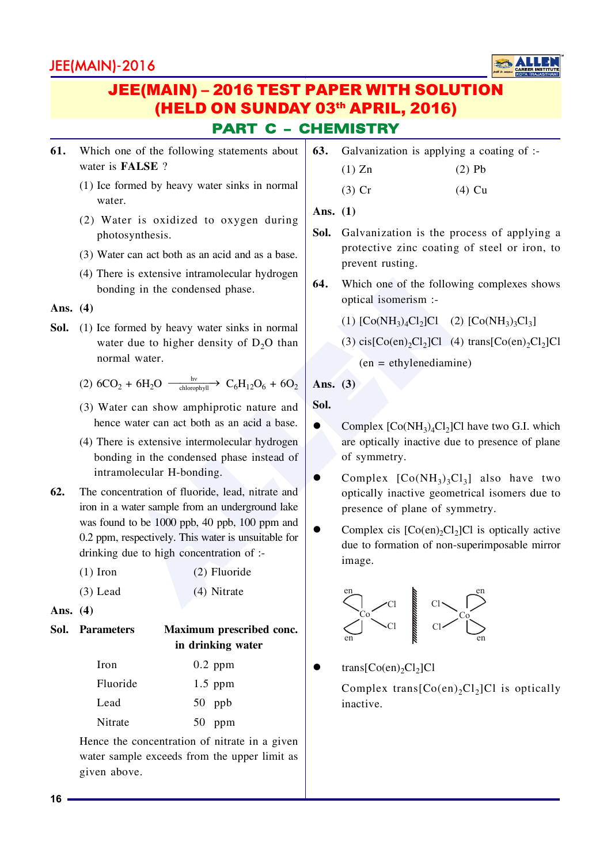![](_page_15_Picture_1.jpeg)

## PART C – CHEMISTRY JEE(MAIN) – 2016 TEST PAPER WITH SOLUTION (HELD ON SUNDAY 03<sup>th</sup> APRIL, 2016)

- 61. Which one of the following statements about water is **FALSE**?
	- $(1)$  Ice formed by heavy water sinks in normal water.
	- $(2)$  Water is oxidized to oxygen during photosynthesis.
	- $(3)$  Water can act both as an acid and as a base.
	- $(4)$  There is extensive intramolecular hydrogen bonding in the condensed phase.

**Ans. (4)**

- **Sol.** (1) Ice formed by heavy water sinks in normal water due to higher density of  $D_2O$  than normal water.
	- (2)  $6CO_2 + 6H_2O \xrightarrow{\text{h}v} C_6H_{12}O_6 + 6O_2$
	- $(3)$  Water can show amphiprotic nature and hence water can act both as an acid a base.
	- $(4)$  There is extensive intermolecular hydrogen bonding in the condensed phase instead of intramolecular H-bonding.
- Formed by heavy water sinks in normal<br>
formed by heavy water sinks in normal<br>
or due to higher density of D<sub>2</sub>O than<br>
mal water.<br>  $D_2 + 6H_2O \xrightarrow{\text{disocplyl}} C_6H_{12}O_6 + 6O_2$ <br>
er due to higher density of D<sub>2</sub>O than<br>
mal water **62.** The concentration of fluoride, lead, nitrate and iron in a water sample from an underground lake was found to be  $1000$  ppb,  $40$  ppb,  $100$  ppm and  $0.2$  ppm, respectively. This water is unsuitable for drinking due to high concentration of  $:$

| $(1)$ Iron | $(2)$ Fluoride |
|------------|----------------|
| $(3)$ Lead | (4) Nitrate    |

**Ans. (4)**

#### **Sol. Parameters Maximum prescribed conc. in drinking water**

| Iron     | $0.2$ ppm |
|----------|-----------|
| Fluoride | $1.5$ ppm |
| Lead     | $50$ ppb  |
| Nitrate  | $50$ ppm  |

Hence the concentration of nitrate in a given water sample exceeds from the upper limit as given above.

**63.** Galvanization is applying a coating of :-

| $(1)$ Zn | $(2)$ Pb |
|----------|----------|
|          |          |

```
(3) Cr (4) Cu
```
**Ans. (1)**

- **Sol.** Galvanization is the process of applying a protective zinc coating of steel or iron, to prevent rusting.
- **64.** Which one of the following complexes shows optical isomerism :-
	- (1)  $[Co(NH_3)_4Cl_2]Cl$  (2)  $[Co(NH_3)_3Cl_3]$
	- (3)  $cis[Co(en)_2Cl_2]Cl$  (4) trans $[Co(en)_2Cl_2]Cl$

 $(en = ethylene$ diamine)

**Ans. (3)**

**Sol.**

- Complex  $[Co(NH_3)_4Cl_2]Cl$  have two G.I. which are optically inactive due to presence of plane of symmetry.
- Complex  $[Co(NH_3)_3Cl_3]$  also have two optically inactive geometrical isomers due to presence of plane of symmetry.
- Complex cis  $[Co(en)_2Cl_2]Cl$  is optically active due to formation of non-superimposable mirror image.

![](_page_15_Figure_34.jpeg)

 $\bullet$  trans[Co(en)<sub>2</sub>Cl<sub>2</sub>]Cl

Complex trans $[Co(en)_2Cl_2]Cl$  is optically inactive.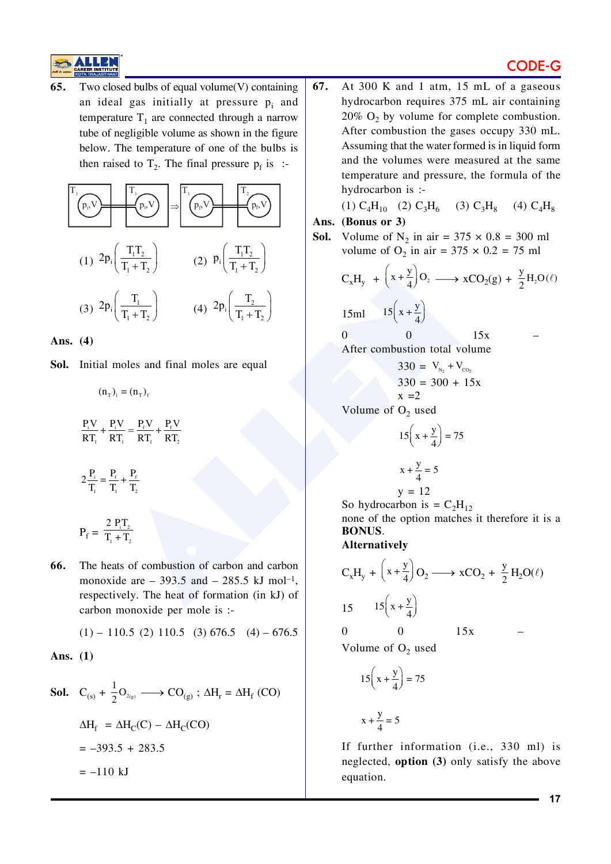#### **CODE-G**

![](_page_16_Picture_1.jpeg)

Two closed bulbs of equal volume(V) containing 65. an ideal gas initially at pressure  $p_i$  and temperature  $T_1$  are connected through a narrow tube of negligible volume as shown in the figure below. The temperature of one of the bulbs is then raised to  $T_2$ . The final pressure  $p_f$  is :-

$$
\frac{T_1}{T_2}
$$
\n(1)  $2p_i \left(\frac{T_1 T_2}{T_1 + T_2}\right)$ \n(2)  $p_i \left(\frac{T_1 T_2}{T_1 + T_2}\right)$ \n(3)  $2p_i \left(\frac{T_1}{T_1 + T_2}\right)$ \n(4)  $2p_i \left(\frac{T_2}{T_1 + T_2}\right)$ 

Ans.  $(4)$ 

Sol. Initial moles and final moles are equal

 $(n_{\tau})_1 = (n_{\tau})_{\epsilon}$ 

$$
\frac{P_i V}{RT_1} + \frac{P_i V}{RT_1} = \frac{P_f V}{RT_1} + \frac{P_f V}{RT_2}
$$

$$
2\frac{P_i}{T_1} = \frac{P_f}{T_1} + \frac{P_f}{T_2}
$$

$$
P_f = \frac{2 P_i T_2}{T_1 + T_2}
$$

66. The heats of combustion of carbon and carbon monoxide are  $-393.5$  and  $-285.5$  kJ mol<sup>-1</sup>. respectively. The heat of formation (in kJ) of carbon monoxide per mole is :-

$$
(1) - 110.5 \ (2) \ 110.5 \ (3) \ 676.5 \ (4) - 676.5
$$

Ans.  $(1)$ 

**Sol.** 
$$
C_{(s)} + \frac{1}{2}O_{2(g)} \longrightarrow CO_{(g)}
$$
;  $\Delta H_r = \Delta H_f (CO)$   
\n $\Delta H_f = \Delta H_C(C) - \Delta H_C(CO)$   
\n $= -393.5 + 283.5$   
\n $= -110 \text{ kJ}$ 

67. At 300 K and 1 atm, 15 mL of a gaseous hydrocarbon requires 375 mL air containing 20%  $O_2$  by volume for complete combustion. After combustion the gases occupy 330 mL. Assuming that the water formed is in liquid form and the volumes were measured at the same temperature and pressure, the formula of the hydrocarbon is :-

(1)  $C_4H_{10}$  (2)  $C_3H_6$  (3)  $C_3H_8$  (4)  $C_4H_8$ 

#### Ans. (Bonus or 3)

**Sol.** Volume of N<sub>2</sub> in air = 375  $\times$  0.8 = 300 ml volume of  $O_2$  in air = 375  $\times$  0.2 = 75 ml

$$
C_xH_y + \left(x + \frac{y}{4}\right)O_2 \longrightarrow xCO_2(g) + \frac{y}{2}H_2O(\ell)
$$
  
15ml 
$$
15\left(x + \frac{y}{4}\right)
$$
  
0 0 15x -

$$
330 = V_{N_2} + V_{CO_2}
$$
  

$$
330 = 300 + 15x
$$
  

$$
x = 2
$$

Volume of  $O_2$  used

$$
15\left(x + \frac{y}{4}\right) = 75
$$

$$
x + \frac{y}{4} = 5
$$

$$
\begin{array}{c}\n4 \\
 \times 4 \\
\end{array}
$$

So hydrocarbon is =  $C_2H_{12}$ 

none of the option matches it therefore it is a **BONUS.** 

**Alternatively** 

$$
C_xH_y + \left(x + \frac{y}{4}\right)O_2 \longrightarrow xCO_2 + \frac{y}{2}H_2O(\ell)
$$
  
15 15 $\left(x + \frac{y}{4}\right)$   
0 0 15x -

Volume of  $O_2$  used

$$
15\left(x+\frac{y}{4}\right) = 75
$$

$$
x + \frac{y}{4} = 5
$$

If further information (i.e., 330 ml) is neglected, option (3) only satisfy the above equation.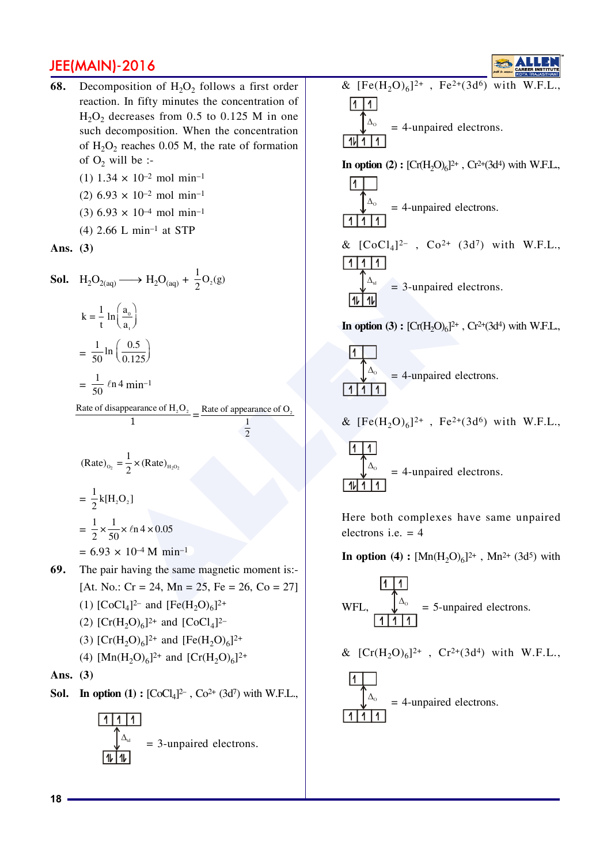68. Decomposition of  $H_2O_2$  follows a first order reaction. In fifty minutes the concentration of  $H_2O_2$  decreases from 0.5 to 0.125 M in one such decomposition. When the concentration of  $H_2O_2$  reaches 0.05 M, the rate of formation of  $O_2$  will be :-

(1)  $1.34 \times 10^{-2}$  mol min<sup>-1</sup>

- (2) 6.93  $\times$  10<sup>-2</sup> mol min<sup>-1</sup>
- $(3)$  6.93  $\times$  10<sup>-4</sup> mol min<sup>-1</sup>
- $(4)$  2.66 L min<sup>-1</sup> at STP

Ans.  $(3)$ 

**Sol.** H<sub>2</sub>O<sub>2(aq)</sub> 
$$
\longrightarrow
$$
 H<sub>2</sub>O<sub>(aq)</sub> +  $\frac{1}{2}$ O<sub>2</sub>(g)  
\n
$$
k = \frac{1}{t} ln\left(\frac{a_0}{a_1}\right)
$$
\n
$$
= \frac{1}{50} ln\left(\frac{0.5}{0.125}\right)
$$
\n
$$
= \frac{1}{50} ln 4 min^{-1}
$$

Rate of disappearance of  $H_2O_2$  \_ Rate of appearance of  $O_2$  $\mathbf{1}$  $\overline{2}$ 

$$
(\text{Rate})_{\text{o}_2} = \frac{1}{2} \times (\text{Rate})_{\text{H}_2\text{O}_2}
$$

$$
= \frac{1}{2} \text{k} [\text{H}_2\text{O}_2]
$$

$$
= \frac{1}{2} \times \frac{1}{50} \times \ln 4 \times 0.05
$$

$$
= 6.93 \times 10^{-4} \text{ M min}^{-1}
$$

69. The pair having the same magnetic moment is:-[At. No.: Cr = 24, Mn = 25, Fe = 26, Co = 27] (1)  $[CoCl<sub>4</sub>]^{2-}$  and  $[Fe(H<sub>2</sub>O)<sub>6</sub>]^{2+}$ (2)  $[Cr(H<sub>2</sub>O)<sub>6</sub>]^{2+}$  and  $[CoCl<sub>4</sub>]^{2-}$ (3)  $[Cr(H<sub>2</sub>O)<sub>6</sub>]^{2+}$  and  $[Fe(H<sub>2</sub>O)<sub>6</sub>]^{2+}$ 

(4) [Mn(H<sub>2</sub>O)<sub>6</sub>]<sup>2+</sup> and [Cr(H<sub>2</sub>O)<sub>6</sub>]<sup>2+</sup>

Ans.  $(3)$ 

**Sol.** In option (1) :  $[CoCl<sub>4</sub>]^{2-}$ ,  $Co<sup>2+</sup> (3d<sup>7</sup>)$  with W.F.L.,

&  $[Fe(H_2O)_6]^{2+}$ ,  $Fe^{2+}(3d^6)$  with W.F.L.,  $11$  $=$  4-unpaired electrons. 1I In option (2):  $[Cr(H, O)<sub>6</sub>]^{2+}$ ,  $Cr^{2+}(3d<sup>4</sup>)$  with W.F.L.,

$$
\frac{1}{\sqrt{\frac{\Delta_0}{1111}}}
$$
 = 4-unpaired electrons.  
\n
$$
\frac{1}{1111}
$$
 & [CoCl<sub>4</sub>]<sup>2-</sup>, Co<sup>2+</sup> (3d<sup>7</sup>) with W.F.L.,  
\n
$$
\frac{1}{\sqrt{\frac{\Delta_0}{1111}}}
$$
 = 3-unpaired electrons.

In option (3):  $[Cr(H, O)<sub>6</sub>]^{2+}$ ,  $Cr^{2+}(3d<sup>4</sup>)$  with W.F.L.,

$$
\frac{1}{\sqrt{\frac{\Delta_0}{1111}}} = 4\text{-unpaired electrons.}
$$

Г

& 
$$
[Fe(H_2O)_6]^{2+}
$$
,  $Fe^{2+}(3d^6)$  with W.F.L.

 $\overline{11}$  $\overline{11}$  $=$  4-unpaired electrons.

Here both complexes have same unpaired electrons i.e.  $=$  4

**In option** (4):  $[Mn(H, O)<sub>6</sub>]^{2+}$ , Mn<sup>2+</sup> (3d<sup>5</sup>) with

$$
WFL, \frac{\sqrt{\Delta_0}}{1111}
$$
 = 5-unpaired electrons.

& 
$$
[Cr(H_2O)_6]^{2+}
$$
,  $Cr^{2+}(3d^4)$  with W.F.L.,

$$
\frac{11}{\sqrt{\Delta_{\circ}}} = 4\text{-unpaired electrons.}
$$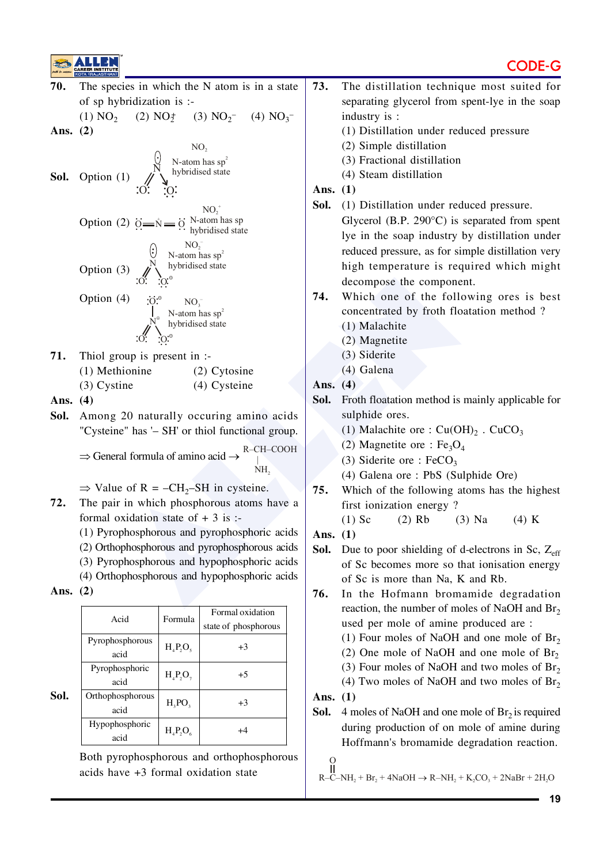![](_page_18_Figure_2.jpeg)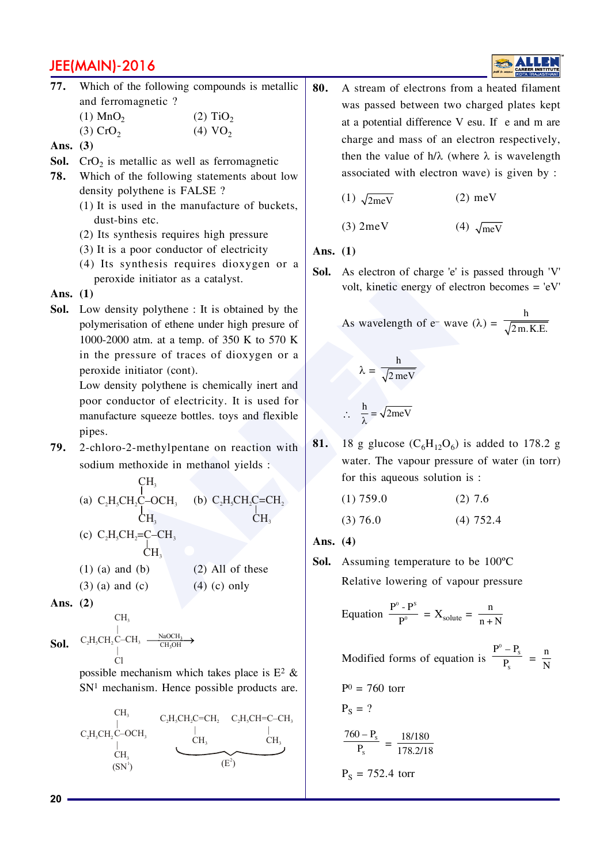- **77.** Which of the following compounds is metallic and ferromagnetic ?
	- $(1)$  MnO<sub>2</sub>  $(2)$  TiO<sub>2</sub>  $(3)$  CrO<sub>2</sub>  $(4) \text{VO}_2$
- **Ans. (3)**
- **Sol.**  $\text{CrO}_2$  is metallic as well as ferromagnetic
- **78.** Which of the following statements about low density polythene is FALSE?
	- $(1)$  It is used in the manufacture of buckets, dust-bins etc.
	- $(2)$  Its synthesis requires high pressure
	- $(3)$  It is a poor conductor of electricity
	- $(4)$  Its synthesis requires dioxygen or a peroxide initiator as a catalyst.

**Ans. (1)**

**Sol.** Low density polythene: It is obtained by the polymerisation of ethene under high presure of 1000-2000 atm. at a temp. of 350 K to 570 K in the pressure of traces of dioxygen or a peroxide initiator (cont).

**79.** 2-chloro-2-methylpentane on reaction with sodium methoxide in methanol yields :

|    | peroxide initiator as a catalyst.          |                                                                                                 | <b>DUI.</b> | As circului of charge $\epsilon$ is $\mu$          |
|----|--------------------------------------------|-------------------------------------------------------------------------------------------------|-------------|----------------------------------------------------|
|    | is. (1)                                    |                                                                                                 |             | volt, kinetic energy of electron                   |
| l. |                                            | Low density polythene : It is obtained by the                                                   |             |                                                    |
|    |                                            | polymerisation of ethene under high presure of                                                  |             | As wavelength of $e^-$ wave ( $\lambda$            |
|    |                                            | 1000-2000 atm. at a temp. of 350 K to 570 K                                                     |             |                                                    |
|    |                                            | in the pressure of traces of dioxygen or a                                                      |             |                                                    |
|    | peroxide initiator (cont).                 |                                                                                                 |             | $\lambda = \frac{h}{\sqrt{2 \text{ meV}}}$         |
|    |                                            | Low density polythene is chemically inert and                                                   |             |                                                    |
|    |                                            | poor conductor of electricity. It is used for                                                   |             |                                                    |
|    |                                            | manufacture squeeze bottles. toys and flexible                                                  |             | $\therefore \quad \frac{h}{\lambda} = \sqrt{2meV}$ |
|    | pipes.                                     |                                                                                                 |             |                                                    |
|    |                                            | 2-chloro-2-methylpentane on reaction with                                                       | 81.         | 18 g glucose $(C_6H_{12}O_6)$ is a                 |
|    | sodium methoxide in methanol yields :      |                                                                                                 |             | water. The vapour pressure of                      |
|    |                                            |                                                                                                 |             | for this aqueous solution is :                     |
|    |                                            | (a) $C_2H_5CH_2C-OCH_3$<br>(b) $C_2H_5CH_2C=CH_2$<br>$CH_3$<br>(e) $C_2H_5CH_2C=CH_2$<br>$CH_3$ |             | $(1)$ 759.0<br>$(2)$ 7.                            |
|    |                                            |                                                                                                 |             | $(4)$ 7:<br>(3) 76.0                               |
|    | (c) $C_2H_3CH_2=C-CH_3$<br>CH <sub>3</sub> |                                                                                                 | Ans. $(4)$  |                                                    |
|    |                                            |                                                                                                 |             |                                                    |
|    | $(1)$ (a) and (b)                          | $(2)$ All of these                                                                              |             | <b>Sol.</b> Assuming temperature to be             |
|    | $(3)$ (a) and (c)                          | $(4)$ (c) only                                                                                  |             | Relative lowering of vapour                        |
|    | is. $(2)$                                  |                                                                                                 |             | ${\bf P}^0$ – ${\bf P}^S$                          |
|    |                                            |                                                                                                 |             |                                                    |

**Ans. (2)**

$$
\begin{array}{ccc} & & \textrm{CH}_3 \\ & | & \\ \textrm{Sol.} & C_2H_3CH_2C-CH_3 & \xrightarrow{\text{NaOCH}_3} \\ & | & \\ & \textrm{Cl} & \end{array}
$$

possible mechanism which takes place is  $E^2$  &  $SN<sup>1</sup>$  mechanism. Hence possible products are.

![](_page_19_Figure_18.jpeg)

**80.** A stream of electrons from a heated filament was passed between two charged plates kept at a potential difference  $V$  esu. If  $e$  and  $m$  are charge and mass of an electron respectively, then the value of  $h/\lambda$  (where  $\lambda$  is wavelength associated with electron wave) is given by :

| $(1)$ $\sqrt{2meV}$ | $(2)$ meV |
|---------------------|-----------|
|---------------------|-----------|

(3)  $2 \text{meV}$  (4)  $\sqrt{\text{meV}}$ 

**Ans. (1)**

**Sol.** As electron of charge 'e' is passed through 'V' volt, kinetic energy of electron becomes  $=$  'eV'

As wavelength of e- wave (
$$
\lambda
$$
) =  $\frac{h}{\sqrt{2m.K.E.}}$ 

$$
\lambda = \frac{h}{\sqrt{2\,meV}}
$$

$$
\therefore \quad \frac{h}{\lambda} = \sqrt{2meV}
$$

**81.** 18 g glucose  $(C_6H_{12}O_6)$  is added to 178.2 g water. The vapour pressure of water (in torr) for this aqueous solution is:

$$
(1) 759.0 \t(2) 7.6(3) 76.0 \t(4) 752.4
$$

**Sol.** Assuming temperature to be 100°C Relative lowering of vapour pressure

Equation 
$$
\frac{P^0 - P^s}{P^0} = X_{solute} = \frac{n}{n+N}
$$

Modified forms of equation is  $P_{\rm s}$ P  $P^0 - P$  $\frac{-P_{s}}{P_{s}} = \frac{n}{N}$ 

$$
P^0 = 760 \text{ torr}
$$

$$
P_S = ?
$$

$$
\frac{760 - P_s}{P_s} = \frac{18/180}{178.2/18}
$$

$$
P_S = 752.4 \text{ torr}
$$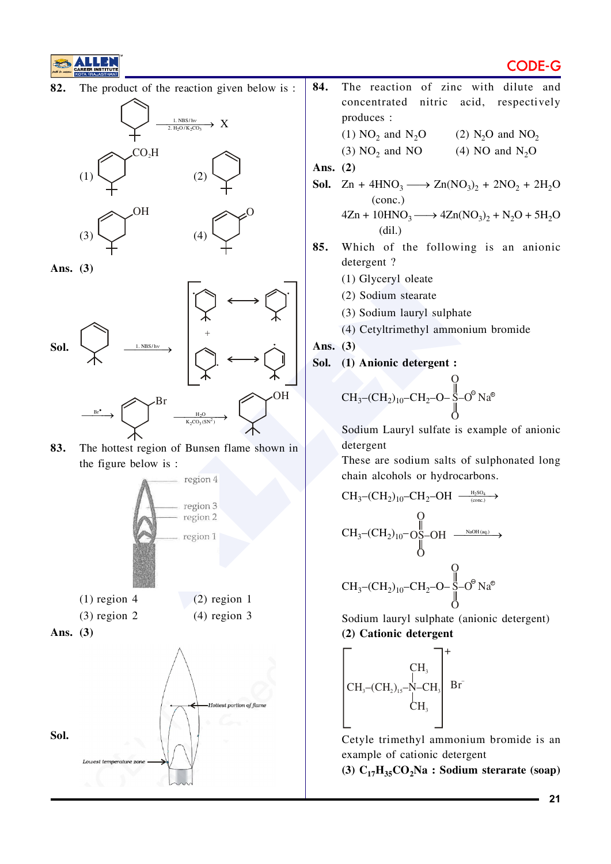82. The product of the reaction given below is:

![](_page_20_Figure_2.jpeg)

Ans.  $(3)$ 

![](_page_20_Figure_4.jpeg)

83. The hottest region of Bunsen flame shown in the figure below is:

![](_page_20_Figure_6.jpeg)

- 84. The reaction of zinc with dilute and concentrated nitric acid, respectively produces : (1)  $NO<sub>2</sub>$  and  $N<sub>2</sub>O$ (2)  $N_2O$  and  $NO_2$ 
	- $(3) NO<sub>2</sub>$  and NO (4) NO and  $N_2O$

Ans.  $(2)$ 

- **Sol.**  $\text{Zn} + 4\text{HNO}_3 \longrightarrow \text{Zn}(\text{NO}_3)_2 + 2\text{NO}_2 + 2\text{H}_2\text{O}$  $(conc.)$  $4\text{Zn} + 10\text{HNO}_3 \longrightarrow 4\text{Zn}(\text{NO}_3)_2 + \text{N}_2\text{O} + 5\text{H}_2\text{O}$
- 85. Which of the following is an anionic detergent?
	- (1) Glyceryl oleate

 $(dil.)$ 

- (2) Sodium stearate
- (3) Sodium lauryl sulphate
- (4) Cetyltrimethyl ammonium bromide

Ans.  $(3)$ 

Sol. (1) Anionic detergent :

$$
CH_3-CH_2)_{10}-CH_2-O-\underset{O}{\overset{O}{\times}}-O^{\circ}Na^{\circ}
$$

Sodium Lauryl sulfate is example of anionic detergent

These are sodium salts of sulphonated long chain alcohols or hydrocarbons.

$$
CH_{3}-(CH_{2})_{10}-CH_{2}-OH \xrightarrow{\text{H}_{3}SO_{4}}\rightarrow
$$
\n
$$
CH_{3}-(CH_{2})_{10}-O_{S}-OH \xrightarrow{\text{NADH (aq.)}}\rightarrow
$$
\n
$$
CH_{3}-(CH_{2})_{10}-CH_{2}-OH \xrightarrow{\text{NADH (aq.)}}\rightarrow
$$
\n
$$
CH_{3}-(CH_{2})_{10}-CH_{2}-O-\overset{\text{N}}{\rightarrow}O^{\circ} \text{Na}^{\circ}
$$

Sodium lauryl sulphate (anionic detergent) (2) Cationic detergent

![](_page_20_Figure_23.jpeg)

Cetyle trimethyl ammonium bromide is an example of cationic detergent

(3)  $C_{17}H_{35}CO_2Na$  : Sodium sterarate (soap)

### CODF-G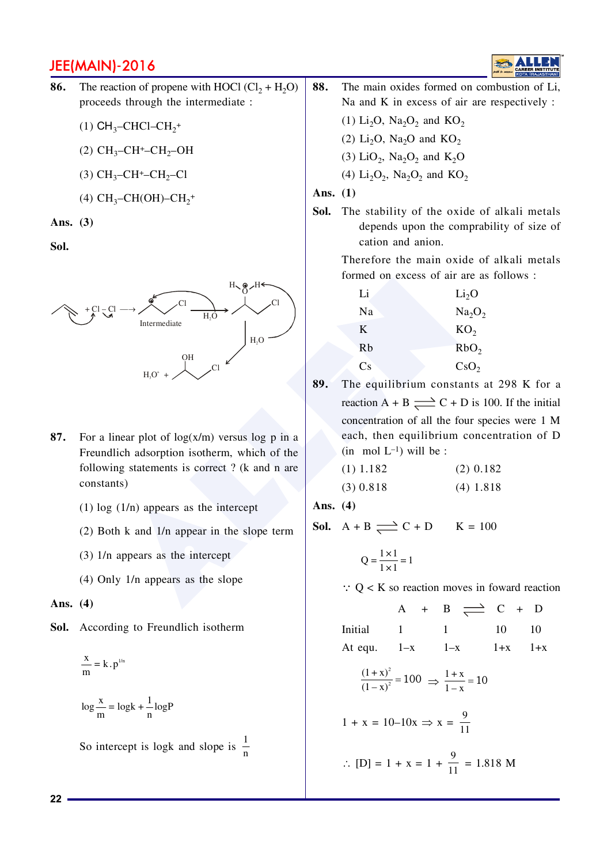![](_page_21_Picture_1.jpeg)

- **86.** The reaction of propene with HOCl  $(Cl_2 + H_2O)$ proceeds through the intermediate :
	- (1)  $CH_3$ -CHCl-CH<sub>2</sub><sup>+</sup>
	- (2)  $CH_3$ -CH<sup>+</sup>-CH<sub>2</sub>-OH
	- (3)  $CH_3$ -CH<sup>+</sup>-CH<sub>2</sub>-Cl
	- (4)  $CH_3$ -CH(OH)-CH<sub>2</sub><sup>+</sup>

**Ans. (3)**

**Sol.**

![](_page_21_Figure_9.jpeg)

- **87.** For a linear plot of  $log(x/m)$  versus  $log p$  in a Freundlich adsorption isotherm, which of the following statements is correct? ( $k$  and n are constants)
	- $(1)$  log  $(1/n)$  appears as the intercept
	- $(2)$  Both k and  $1/n$  appear in the slope term
	- $(3)$  1/n appears as the intercept
	- $(4)$  Only 1/n appears as the slope

**Ans. (4)**

**Sol.** According to Freundlich isotherm

$$
\frac{x}{m} = k \cdot p^{1/n}
$$
  

$$
\log \frac{x}{m} = \log k + \frac{1}{n} \log P
$$

So intercept is logk and slope is  $\frac{1}{n}$ 

- 88. The main oxides formed on combustion of Li, Na and K in excess of air are respectively :
	- (1)  $Li_2O$ ,  $Na_2O_2$  and  $KO_2$
	- (2)  $Li_2O$ ,  $Na_2O$  and  $KO_2$
	- (3)  $LiO_2$ ,  $Na_2O_2$  and  $K_2O$ (4)  $Li_2O_2$ ,  $Na_2O_2$  and  $KO_2$
- **Ans. (1)**
- **Sol.** The stability of the oxide of alkali metals depends upon the comprability of size of cation and anion.

Therefore the main oxide of alkali metals formed on excess of air are as follows:

| Li | Li <sub>2</sub> O              |
|----|--------------------------------|
| Na | Na <sub>2</sub> O <sub>2</sub> |
| K  | KO <sub>2</sub>                |
| Rb | RbO <sub>2</sub>               |
| Cs | $\text{CsO}_2$                 |

89. The equilibrium constants at 298 K for a reaction A + B  $\rightleftharpoons$  C + D is 100. If the initial concentration of all the four species were 1 M each, then equilibrium concentration of D  $(in \mod L^{-1})$  will be:

| (1) $1.182$ | (2) $0.182$ |
|-------------|-------------|
| (3) $0.818$ | (4) $1.818$ |

**Ans. (4)**

**Sol.**  $A + B \rightleftharpoons C + D$   $K = 100$ 

$$
Q = \frac{1 \times 1}{1 \times 1} = 1
$$

 $\therefore$  Q < K so reaction moves in foward reaction

 $A + B \implies C + D$  $Initial \qquad 1 \qquad 1 \qquad 10 \qquad 10$ At equ.  $1-x$   $1-x$   $1+x$   $1+x$  $\frac{(1+x)^2}{(1-x)^2} = 100 \implies \frac{1+x}{1-x} = 10$  $1 + x = 10 - 10x \implies x = \frac{9}{15}$ ..  $\therefore$  [D] = 1 + x = 1 +  $\frac{9}{11}$  = 1.818 M